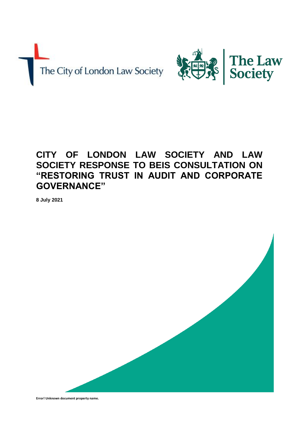



# **CITY OF LONDON LAW SOCIETY AND LAW SOCIETY RESPONSE TO BEIS CONSULTATION ON "RESTORING TRUST IN AUDIT AND CORPORATE GOVERNANCE"**

**8 July 2021**



**Error! Unknown document property name.**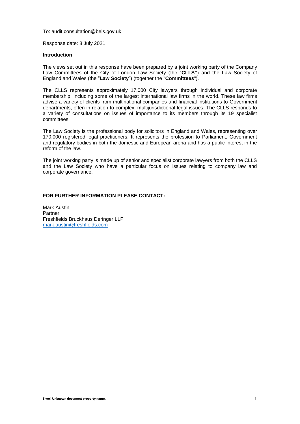#### To: [audit.consultation@beis.gov.uk](mailto:audit.consultation@beis.gov.uk)

Response date: 8 July 2021

#### **Introduction**

The views set out in this response have been prepared by a joint working party of the Company Law Committees of the City of London Law Society (the "**CLLS"**) and the Law Society of England and Wales (the "**Law Society**") (together the "**Committees**").

The CLLS represents approximately 17,000 City lawyers through individual and corporate membership, including some of the largest international law firms in the world. These law firms advise a variety of clients from multinational companies and financial institutions to Government departments, often in relation to complex, multijurisdictional legal issues. The CLLS responds to a variety of consultations on issues of importance to its members through its 19 specialist committees.

The Law Society is the professional body for solicitors in England and Wales, representing over 170,000 registered legal practitioners. It represents the profession to Parliament, Government and regulatory bodies in both the domestic and European arena and has a public interest in the reform of the law.

The joint working party is made up of senior and specialist corporate lawyers from both the CLLS and the Law Society who have a particular focus on issues relating to company law and corporate governance.

# **FOR FURTHER INFORMATION PLEASE CONTACT:**

Mark Austin Partner Freshfields Bruckhaus Deringer LLP [mark.austin@freshfields.com](mailto:mark.austin@freshfields.com)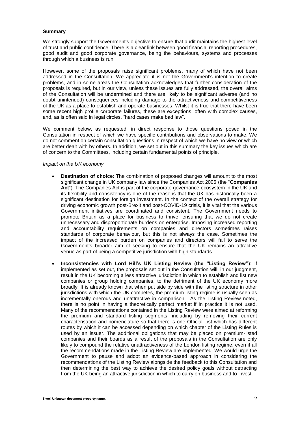## **Summary**

We strongly support the Government's objective to ensure that audit maintains the highest level of trust and public confidence. There is a clear link between good financial reporting procedures, good audit and good corporate governance, being the behaviours, systems and processes through which a business is run.

However, some of the proposals raise significant problems, many of which have not been addressed in the Consultation. We appreciate it is not the Government's intention to create problems, and in some areas the Consultation acknowledges that further consideration of the proposals is required, but in our view, unless these issues are fully addressed, the overall aims of the Consultation will be undermined and there are likely to be significant adverse (and no doubt unintended) consequences including damage to the attractiveness and competitiveness of the UK as a place to establish and operate businesses. Whilst it is true that there have been some recent high profile corporate failures, these are exceptions, often with complex causes, and, as is often said in legal circles, "hard cases make bad law".

We comment below, as requested, in direct response to those questions posed in the Consultation in respect of which we have specific contributions and observations to make. We do not comment on certain consultation questions in respect of which we have no view or which are better dealt with by others. In addition, we set out in this summary the key issues which are of concern to the Committees, including certain fundamental points of principle.

#### *Impact on the UK economy*

- **Destination of choice**: The combination of proposed changes will amount to the most significant change in UK company law since the Companies Act 2006 (the "**Companies Act**"). The Companies Act is part of the corporate governance ecosystem in the UK and its flexibility and consistency is one of the reasons that the UK has historically been a significant destination for foreign investment. In the context of the overall strategy for driving economic growth post-Brexit and post-COVID-19 crisis, it is vital that the various Government initiatives are coordinated and consistent. The Government needs to promote Britain as a place for business to thrive, ensuring that we do not create unnecessary and disproportionate burdens on enterprise. Imposing increased reporting and accountability requirements on companies and directors sometimes raises standards of corporate behaviour, but this is not always the case. Sometimes the impact of the increased burden on companies and directors will fail to serve the Government's broader aim of seeking to ensure that the UK remains an attractive venue as part of being a competitive jurisdiction with high standards.
- **Inconsistencies with Lord Hill's UK Listing Review (the "Listing Review")**: If implemented as set out, the proposals set out in the Consultation will, in our judgment, result in the UK becoming a less attractive jurisdiction in which to establish and list new companies or group holding companies, to the detriment of the UK economy more broadly. It is already known that when put side by side with the listing structure in other jurisdictions with which the UK competes, the premium listing regime is usually seen as incrementally onerous and unattractive in comparison. As the Listing Review noted, there is no point in having a theoretically perfect market if in practice it is not used. Many of the recommendations contained in the Listing Review were aimed at reforming the premium and standard listing segments, including by removing their current characterisation and nomenclature so that there is one Official List which has different routes by which it can be accessed depending on which chapter of the Listing Rules is used by an issuer. The additional obligations that may be placed on premium-listed companies and their boards as a result of the proposals in the Consultation are only likely to compound the relative unattractiveness of the London listing regime, even if all the recommendations made in the Listing Review are implemented. We would urge the Government to pause and adopt an evidence-based approach in considering the recommendations of the Listing Review alongside the feedback to this Consultation and then determining the best way to achieve the desired policy goals without detracting from the UK being an attractive jurisdiction in which to carry on business and to invest.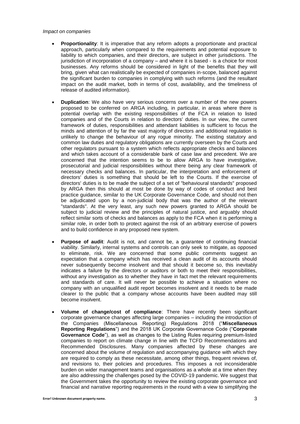#### *Impact on companies*

- **Proportionality**: It is imperative that any reform adopts a proportionate and practical approach, particularly when compared to the requirements and potential exposure to liability to which companies, and their directors, are subject in other jurisdictions. The jurisdiction of incorporation of a company – and where it is based - is a choice for most businesses. Any reforms should be considered in light of the benefits that they will bring, given what can realistically be expected of companies in-scope, balanced against the significant burden to companies in complying with such reforms (and the resultant impact on the audit market, both in terms of cost, availability, and the timeliness of release of audited information).
- **Duplication**: We also have very serious concerns over a number of the new powers proposed to be conferred on ARGA including, in particular, in areas where there is potential overlap with the existing responsibilities of the FCA in relation to listed companies and of the Courts in relation to directors' duties. In our view, the current framework of duties, responsibilities and attendant liabilities is sufficient to focus the minds and attention of by far the vast majority of directors and additional regulation is unlikely to change the behaviour of any rogue minority. The existing statutory and common law duties and regulatory obligations are currently overseen by the Courts and other regulators pursuant to a system which reflects appropriate checks and balances and which takes account of a considerable bank of case law and precedent. We are concerned that the intention seems to be to allow ARGA to have investigative, prosecutorial and judicial responsibilities without there being any clear framework of necessary checks and balances. In particular, the interpretation and enforcement of directors' duties is something that should be left to the Courts. If the exercise of directors' duties is to be made the subject of a set of "behavioural standards" proposed by ARGA then this should at most be done by way of codes of conduct and best practice guidance, similar to the UK Corporate Governance Code, and should not then be adjudicated upon by a non-judicial body that was the author of the relevant "standards". At the very least, any such new powers granted to ARGA should be subject to judicial review and the principles of natural justice, and arguably should reflect similar sorts of checks and balances as apply to the FCA when it is performing a similar role, in order both to protect against the risk of an arbitrary exercise of powers and to build confidence in any proposed new system.
- **Purpose of audit**: Audit is not, and cannot be, a guarantee of continuing financial viability. Similarly, internal systems and controls can only seek to mitigate, as opposed to eliminate, risk. We are concerned that some public comments suggest an expectation that a company which has received a clean audit of its accounts should never subsequently become insolvent and that should it become so, this inevitably indicates a failure by the directors or auditors or both to meet their responsibilities, without any investigation as to whether they have in fact met the relevant requirements and standards of care. It will never be possible to achieve a situation where no company with an unqualified audit report becomes insolvent and it needs to be made clearer to the public that a company whose accounts have been audited may still become insolvent.
- **Volume of change/cost of compliance**: There have recently been significant corporate governance changes affecting large companies – including the introduction of the Companies (Miscellaneous Reporting) Regulations 2018 ("**Miscellaneous Reporting Regulations**") and the 2018 UK Corporate Governance Code ("**Corporate Governance Code**"), as well as changes to the Listing Rules requiring premium-listed companies to report on climate change in line with the TCFD Recommendations and Recommended Disclosures. Many companies affected by these changes are concerned about the volume of regulation and accompanying guidance with which they are required to comply as these necessitate, among other things, frequent reviews of, and revisions to, their policies and procedures. This imposes a not inconsiderable burden on wider management teams and organisations as a whole at a time when they are also addressing the challenges posed by the COVID-19 pandemic. We suggest that the Government takes the opportunity to review the existing corporate governance and financial and narrative reporting requirements in the round with a view to simplifying the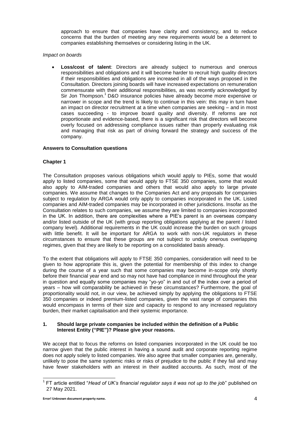approach to ensure that companies have clarity and consistency, and to reduce concerns that the burden of meeting any new requirements would be a deterrent to companies establishing themselves or considering listing in the UK.

# *Impact on boards*

 **Loss/cost of talent**: Directors are already subject to numerous and onerous responsibilities and obligations and it will become harder to recruit high quality directors if their responsibilities and obligations are increased in all of the ways proposed in the Consultation. Directors joining boards will have increased expectations on remuneration commensurate with their additional responsibilities, as was recently acknowledged by Sir Jon Thompson.<sup>1</sup> D&O insurance policies have already become more expensive or narrower in scope and the trend is likely to continue in this vein: this may in turn have an impact on director recruitment at a time when companies are seeking – and in most cases succeeding - to improve board quality and diversity. If reforms are not proportionate and evidence-based, there is a significant risk that directors will become overly focused on addressing compliance issues rather than properly evaluating risk and managing that risk as part of driving forward the strategy and success of the company.

# **Answers to Consultation questions**

# **Chapter 1**

The Consultation proposes various obligations which would apply to PIEs, some that would apply to listed companies, some that would apply to FTSE 350 companies, some that would also apply to AIM-traded companies and others that would also apply to large private companies. We assume that changes to the Companies Act and any proposals for companies subject to regulation by ARGA would only apply to companies incorporated in the UK. Listed companies and AIM-traded companies may be incorporated in other jurisdictions. Insofar as the Consultation relates to such companies, we assume they are limited to companies incorporated in the UK. In addition, there are complexities where a PIE's parent is an overseas company and/or listed outside of the UK (with group reporting obligations applying at the parent / listed company level). Additional requirements in the UK could increase the burden on such groups with little benefit. It will be important for ARGA to work with non-UK regulators in these circumstances to ensure that these groups are not subject to unduly onerous overlapping regimes, given that they are likely to be reporting on a consolidated basis already.

To the extent that obligations will apply to FTSE 350 companies, consideration will need to be given to how appropriate this is, given the potential for membership of this index to change during the course of a year such that some companies may become in-scope only shortly before their financial year end and so may not have had compliance in mind throughout the year in question and equally some companies may "yo-yo" in and out of the index over a period of years – how will comparability be achieved in these circumstances? Furthermore, the goal of proportionality would not, in our view, be achieved simply by applying the obligations to FTSE 350 companies or indeed premium-listed companies, given the vast range of companies this would encompass in terms of their size and capacity to respond to any increased regulatory burden, their market capitalisation and their systemic importance.

# **1. Should large private companies be included within the definition of a Public Interest Entity ("PIE")? Please give your reasons.**

We accept that to focus the reforms on listed companies incorporated in the UK could be too narrow given that the public interest in having a sound audit and corporate reporting regime does not apply solely to listed companies. We also agree that smaller companies are, generally, unlikely to pose the same systemic risks or risks of prejudice to the public if they fail and may have fewer stakeholders with an interest in their audited accounts. As such, most of the

<sup>&</sup>lt;sup>1</sup> FT article entitled "Head of UK's financial regulator says it was not up to the job" published on 27 May 2021.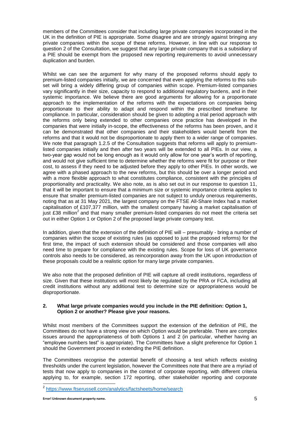members of the Committees consider that including large private companies incorporated in the UK in the definition of PIE is appropriate. Some disagree and are strongly against bringing any private companies within the scope of these reforms. However, in line with our response to question 2 of the Consultation, we suggest that any large private company that is a subsidiary of a PIE should be exempt from the proposed new reporting requirements to avoid unnecessary duplication and burden.

Whilst we can see the argument for why many of the proposed reforms should apply to premium-listed companies initially, we are concerned that even applying the reforms to this subset will bring a widely differing group of companies within scope. Premium-listed companies vary significantly in their size, capacity to respond to additional regulatory burdens, and in their systemic importance. We believe there are good arguments for allowing for a proportionate approach to the implementation of the reforms with the expectations on companies being proportionate to their ability to adapt and respond within the prescribed timeframe for compliance. In particular, consideration should be given to adopting a trial period approach with the reforms only being extended to other companies once practice has developed in the companies that were initially in-scope, the effectiveness of the reforms has been proven, and it can be demonstrated that other companies and their stakeholders would benefit from the reforms and that it would not be disproportionate to apply them to a wider range of companies. We note that paragraph 1.2.5 of the Consultation suggests that reforms will apply to premiumlisted companies initially and then after two years will be extended to all PIEs. In our view, a two-year gap would not be long enough as it would only allow for one year's worth of reporting, and would not give sufficient time to determine whether the reforms were fit for purpose or their cost, to assess if they need to be adjusted before they apply to other PIEs. In other words, we agree with a phased approach to the new reforms, but this should be over a longer period and with a more flexible approach to what constitutes compliance, consistent with the principles of proportionality and practicality. We also note, as is also set out in our response to question 11, that it will be important to ensure that a minimum size or systemic importance criteria applies to ensure that smaller premium-listed companies are not subject to unduly onerous requirements, noting that as at 31 May 2021, the largest company on the FTSE All-Share Index had a market capitalisation of £107,377 million, with the smallest company having a market capitalisation of just £38 million<sup>2</sup> and that many smaller premium-listed companies do not meet the criteria set out in either Option 1 or Option 2 of the proposed large private company test.

In addition, given that the extension of the definition of PIE will – presumably - bring a number of companies within the scope of existing rules (as opposed to just the proposed reforms) for the first time, the impact of such extension should be considered and those companies will also need time to prepare for compliance with the existing rules. Scope for loss of UK governance controls also needs to be considered, as reincorporation away from the UK upon introduction of these proposals could be a realistic option for many large private companies.

We also note that the proposed definition of PIE will capture all credit institutions, regardless of size. Given that these institutions will most likely be regulated by the PRA or FCA, including all credit institutions without any additional test to determine size or appropriateness would be disproportionate.

# **2. What large private companies would you include in the PIE definition: Option 1, Option 2 or another? Please give your reasons.**

Whilst most members of the Committees support the extension of the definition of PIE, the Committees do not have a strong view on which Option would be preferable. There are complex issues around the appropriateness of both Options 1 and 2 (in particular, whether having an "employee numbers test" is appropriate). The Committees have a slight preference for Option 1 should the Government proceed in extending the PIE definition.

The Committees recognise the potential benefit of choosing a test which reflects existing thresholds under the current legislation, however the Committees note that there are a myriad of tests that now apply to companies in the context of corporate reporting, with different criteria applying to, for example, section 172 reporting, other stakeholder reporting and corporate

<sup>2&</sup>lt;br><sup>2</sup> <https://www.ftserussell.com/analytics/factsheets/home/search>

**Error! Unknown document property name.** 5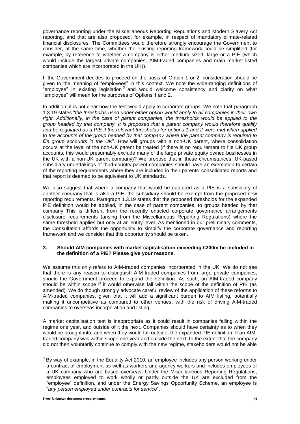governance reporting under the Miscellaneous Reporting Regulations and Modern Slavery Act reporting, and that are also proposed, for example, in respect of mandatory climate-related financial disclosures. The Committees would therefore strongly encourage the Government to consider, at the same time, whether the existing reporting framework could be simplified (for example, by reference to whether a company is either medium sized, large or a PIE (which would include the largest private companies, AIM-traded companies and main market listed companies which are incorporated in the UK)).

If the Government decides to proceed on the basis of Option 1 or 2, consideration should be given to the meaning of "employees" in this context. We note the wide-ranging definitions of "employee" in existing legislation  $3$  and would welcome consistency and clarity on what "employee" will mean for the purposes of Options 1 and 2.

In addition, it is not clear how the test would apply to corporate groups. We note that paragraph 1.3.19 states "*the thresholds used under either option would apply to all companies in their own*  right. Additionally, in the case of parent companies, the thresholds would be applied to the *group headed by that company. It is proposed that a parent company would therefore qualify and be regulated as a PIE if the relevant thresholds for options 1 and 2 were met when applied to the accounts of the group headed by that company where the parent company is required to file group accounts in the UK*". How will groups with a non-UK parent, where consolidation occurs at the level of the non-UK parent be treated (if there is no requirement to file UK group accounts, this would presumably exclude many of the large private equity owned businesses in the UK with a non-UK parent company)? We propose that in these circumstances, UK-based subsidiary undertakings of third-country parent companies should have an exemption to certain of the reporting requirements where they are included in their parents' consolidated reports and that report is deemed to be equivalent to UK standards.

We also suggest that where a company that would be captured as a PIE is a subsidiary of another company that is also a PIE, the subsidiary should be exempt from the proposed new reporting requirements. Paragraph 1.3.19 states that the proposed thresholds for the expanded PIE definition would be applied, in the case of parent companies, to groups headed by that company. This is different from the recently enacted corporate governance arrangements disclosure requirements (arising from the Miscellaneous Reporting Regulations) where the same threshold applies but only at an entity level. As mentioned in our preliminary comments, the Consultation affords the opportunity to simplify the corporate governance and reporting framework and we consider that this opportunity should be taken.

# **3. Should AIM companies with market capitalisation exceeding €200m be included in the definition of a PIE? Please give your reasons.**

We assume this only refers to AIM-traded companies incorporated in the UK. We do not see that there is any reason to distinguish AIM-traded companies from large private companies, should the Government proceed to expand the definition. As such, an AIM-traded company should be within scope if it would otherwise fall within the scope of the definition of PIE (as amended). We do though strongly advocate careful review of the application of these reforms to AIM-traded companies, given that it will add a significant burden to AIM listing, potentially making it uncompetitive as compared to other venues, with the risk of driving AIM-traded companies to overseas incorporation and listing.

A market capitalisation test is inappropriate as it could result in companies falling within the regime one year, and outside of it the next. Companies should have certainty as to when they would be brought into, and when they would fall outside, the expanded PIE definition. If an AIMtraded company was within scope one year and outside the next, to the extent that the company did not then voluntarily continue to comply with the new regime, stakeholders would not be able

  $3$  By way of example, in the Equality Act 2010, an employee includes any person working under a contract of employment as well as workers and agency workers and includes employees of a UK company who are based overseas. Under the Miscellaneous Reporting Regulations, employees employed to work wholly or partly outside the UK are excluded from the "employee" definition, and under the Energy Savings Opportunity Scheme, an employee is "*any person employed under contracts for service*".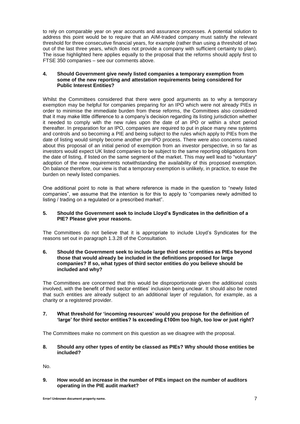to rely on comparable year on year accounts and assurance processes. A potential solution to address this point would be to require that an AIM-traded company must satisfy the relevant threshold for three consecutive financial years, for example (rather than using a threshold of two out of the last three years, which does not provide a company with sufficient certainty to plan). The issue highlighted here applies equally to the proposal that the reforms should apply first to FTSE 350 companies – see our comments above.

# **4. Should Government give newly listed companies a temporary exemption from some of the new reporting and attestation requirements being considered for Public Interest Entities?**

Whilst the Committees considered that there were good arguments as to why a temporary exemption may be helpful for companies preparing for an IPO which were not already PIEs in order to minimise the immediate burden from these reforms, the Committees also considered that it may make little difference to a company's decision regarding its listing jurisdiction whether it needed to comply with the new rules upon the date of an IPO or within a short period thereafter. In preparation for an IPO, companies are required to put in place many new systems and controls and so becoming a PIE and being subject to the rules which apply to PIEs from the date of listing would simply become another pre-IPO process. There were also concerns raised about this proposal of an initial period of exemption from an investor perspective, in so far as investors would expect UK listed companies to be subject to the same reporting obligations from the date of listing, if listed on the same segment of the market. This may well lead to "voluntary" adoption of the new requirements notwithstanding the availability of this proposed exemption. On balance therefore, our view is that a temporary exemption is unlikely, in practice, to ease the burden on newly listed companies.

One additional point to note is that where reference is made in the question to "newly listed companies", we assume that the intention is for this to apply to "companies newly admitted to listing / trading on a regulated or a prescribed market".

# **5. Should the Government seek to include Lloyd's Syndicates in the definition of a PIE? Please give your reasons.**

The Committees do not believe that it is appropriate to include Lloyd's Syndicates for the reasons set out in paragraph 1.3.28 of the Consultation.

## **6. Should the Government seek to include large third sector entities as PIEs beyond those that would already be included in the definitions proposed for large companies? If so, what types of third sector entities do you believe should be included and why?**

The Committees are concerned that this would be disproportionate given the additional costs involved, with the benefit of third sector entities' inclusion being unclear. It should also be noted that such entities are already subject to an additional layer of regulation, for example, as a charity or a registered provider.

# **7. What threshold for 'incoming resources' would you propose for the definition of 'large' for third sector entities? Is exceeding £100m too high, too low or just right?**

The Committees make no comment on this question as we disagree with the proposal.

**8. Should any other types of entity be classed as PIEs? Why should those entities be included?**

No.

**9. How would an increase in the number of PIEs impact on the number of auditors operating in the PIE audit market?**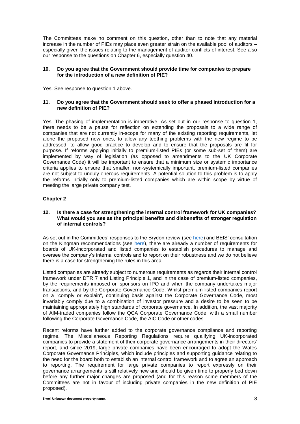The Committees make no comment on this question, other than to note that any material increase in the number of PIEs may place even greater strain on the available pool of auditors – especially given the issues relating to the management of auditor conflicts of interest. See also our response to the questions on Chapter 6, especially question 40.

#### **10. Do you agree that the Government should provide time for companies to prepare for the introduction of a new definition of PIE?**

Yes. See response to question 1 above.

## **11. Do you agree that the Government should seek to offer a phased introduction for a new definition of PIE?**

Yes. The phasing of implementation is imperative. As set out in our response to question 1, there needs to be a pause for reflection on extending the proposals to a wide range of companies that are not currently in-scope for many of the existing reporting requirements, let alone the proposed new ones, to allow any teething problems with the new regime to be addressed, to allow good practice to develop and to ensure that the proposals are fit for purpose. If reforms applying initially to premium-listed PIEs (or some sub-set of them) are implemented by way of legislation (as opposed to amendments to the UK Corporate Governance Code) it will be important to ensure that a minimum size or systemic importance criteria applies to ensure that smaller, non-systemically important, premium-listed companies are not subject to unduly onerous requirements. A potential solution to this problem is to apply the reforms initially only to premium-listed companies which are within scope by virtue of meeting the large private company test.

# **Chapter 2**

# **12. Is there a case for strengthening the internal control framework for UK companies? What would you see as the principal benefits and disbenefits of stronger regulation of internal controls?**

As set out in the Committees' responses to the Brydon review (see [here\)](https://www.citysolicitors.org.uk/storage/2019/06/Law-Society-and-CLLS-response-to-the-Brydon-review-03-06-19.pdf) and BEIS' consultation on the Kingman recommendations (see [here\)](https://www.citysolicitors.org.uk/storage/2019/06/Law-Society-and-CLLS-response-to-BEIS-Kingsman-review.pdf), there are already a number of requirements for boards of UK-incorporated and listed companies to establish procedures to manage and oversee the company's internal controls and to report on their robustness and we do not believe there is a case for strengthening the rules in this area.

Listed companies are already subject to numerous requirements as regards their internal control framework under DTR 7 and Listing Principle 1, and in the case of premium-listed companies, by the requirements imposed on sponsors on IPO and when the company undertakes major transactions, and by the Corporate Governance Code. Whilst premium-listed companies report on a "comply or explain", continuing basis against the Corporate Governance Code, most invariably comply due to a combination of investor pressure and a desire to be seen to be maintaining appropriately high standards of corporate governance. In addition, the vast majority of AIM-traded companies follow the QCA Corporate Governance Code, with a small number following the Corporate Governance Code, the AIC Code or other codes.

Recent reforms have further added to the corporate governance compliance and reporting regime. The Miscellaneous Reporting Regulations require qualifying UK-incorporated companies to provide a statement of their corporate governance arrangements in their directors' report, and since 2019, large private companies have been encouraged to adopt the Wates Corporate Governance Principles, which include principles and supporting guidance relating to the need for the board both to establish an internal control framework and to agree an approach to reporting. The requirement for large private companies to report expressly on their governance arrangements is still relatively new and should be given time to properly bed down before any further major changes are proposed (and for this reason some members of the Committees are not in favour of including private companies in the new definition of PIE proposed).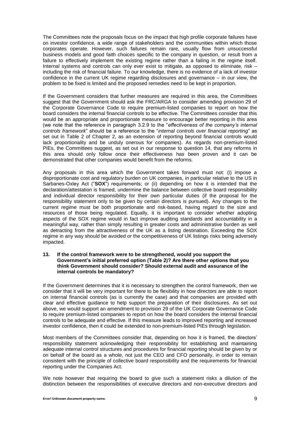The Committees note the proposals focus on the impact that high profile corporate failures have on investor confidence, a wide range of stakeholders and the communities within which those corporates operate. However, such failures remain rare, usually flow from unsuccessful business models and good faith choices specific to the company in question, or result from a failure to effectively implement the existing regime rather than a failing in the regime itself. Internal systems and controls can only ever exist to mitigate, as opposed to eliminate, risk – including the risk of financial failure. To our knowledge, there is no evidence of a lack of investor confidence in the current UK regime regarding disclosures and governance – in our view, the problem to be fixed is limited and the proposed remedies need to be kept in proportion.

If the Government considers that further measures are required in this area, the Committees suggest that the Government should ask the FRC/ARGA to consider amending provision 29 of the Corporate Governance Code to require premium-listed companies to report on how the board considers the internal financial controls to be effective. The Committees consider that this would be an appropriate and proportionate measure to encourage better reporting in this area (we note that the reference in paragraph 3.2.9 to the "*effectiveness of the company's internal controls framework*" should be a reference to the "*internal controls over financial reporting*" as set out in Table 2 of Chapter 2, as an extension of reporting beyond financial controls would lack proportionality and be unduly onerous for companies). As regards non-premium-listed PIEs, the Committees suggest, as set out in our response to question 14, that any reforms in this area should only follow once their effectiveness has been proven and it can be demonstrated that other companies would benefit from the reforms.

Any proposals in this area which the Government takes forward must not: (i) impose a disproportionate cost and regulatory burden on UK companies, in particular relative to the US in Sarbanes-Oxley Act ("**SOX**") requirements; or (ii) depending on how it is intended that the declaration/attestation is framed, undermine the balance between collective board responsibility and individual director responsibility for their own particular duties (if the proposal for the responsibility statement only to be given by certain directors is pursued). Any changes to the current regime must be both proportionate and risk-based, having regard to the size and resources of those being regulated. Equally, it is important to consider whether adopting aspects of the SOX regime would in fact improve auditing standards and accountability in a meaningful way, rather than simply resulting in greater costs and administrative burden as well as detracting from the attractiveness of the UK as a listing destination. Exceeding the SOX regime in any way should be avoided or the competitiveness of UK listings risks being adversely impacted.

#### **13. If the control framework were to be strengthened, would you support the Government's initial preferred option (Table 2)? Are there other options that you think Government should consider? Should external audit and assurance of the internal controls be mandatory?**

If the Government determines that it is necessary to strengthen the control framework, then we consider that it will be very important for there to be flexibility in how directors are able to report on internal financial controls (as is currently the case) and that companies are provided with clear and effective guidance to help support the preparation of their disclosures. As set out above, we would support an amendment to provision 29 of the UK Corporate Governance Code to require premium-listed companies to report on how the board considers the internal financial controls to be adequate and effective. If this measure leads to improved reporting and increased investor confidence, then it could be extended to non-premium-listed PIEs through legislation.

Most members of the Committees consider that, depending on how it is framed, the directors' responsibility statement acknowledging their responsibility for establishing and maintaining adequate internal control structures and procedures for financial reporting should be given by or on behalf of the board as a whole, not just the CEO and CFO personally, in order to remain consistent with the principle of collective board responsibility and the requirements for financial reporting under the Companies Act.

We note however that requiring the board to give such a statement risks a dilution of the distinction between the responsibilities of executive directors and non-executive directors and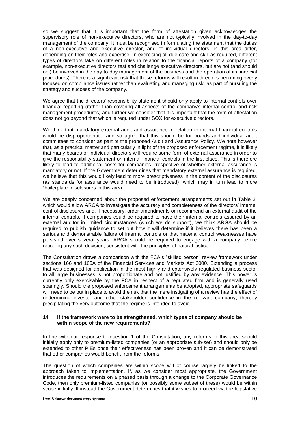so we suggest that it is important that the form of attestation given acknowledges the supervisory role of non-executive directors, who are not typically involved in the day-to-day management of the company. It must be recognised in formulating the statement that the duties of a non-executive and executive director, and of individual directors, in this area differ, depending on their roles and expertise. In exercising all due care and skill as required, different types of directors take on different roles in relation to the financial reports of a company (for example, non-executive directors test and challenge executive directors, but are not (and should not) be involved in the day-to-day management of the business and the operation of its financial procedures). There is a significant risk that these reforms will result in directors becoming overly focused on compliance issues rather than evaluating and managing risk, as part of pursuing the strategy and success of the company.

We agree that the directors' responsibility statement should only apply to internal controls over financial reporting (rather than covering all aspects of the company's internal control and risk management procedures) and further we consider that it is important that the form of attestation does not go beyond that which is required under SOX for executive directors.

We think that mandatory external audit and assurance in relation to internal financial controls would be disproportionate, and so agree that this should be for boards and individual audit committees to consider as part of the proposed Audit and Assurance Policy. We note however that, as a practical matter and particularly in light of the proposed enforcement regime, it is likely that many boards or individual directors will require some form of external assurance in order to give the responsibility statement on internal financial controls in the first place. This is therefore likely to lead to additional costs for companies irrespective of whether external assurance is mandatory or not. If the Government determines that mandatory external assurance is required, we believe that this would likely lead to more prescriptiveness in the content of the disclosures (as standards for assurance would need to be introduced), which may in turn lead to more "boilerplate" disclosures in this area.

We are deeply concerned about the proposed enforcement arrangements set out in Table 2, which would allow ARGA to investigate the accuracy and completeness of the directors' internal control disclosures and, if necessary, order amendments or recommend an external audit of the internal controls. If companies could be required to have their internal controls assured by an external auditor in limited circumstances (which we do support), we think ARGA should be required to publish guidance to set out how it will determine if it believes there has been a serious and demonstrable failure of internal controls or that material control weaknesses have persisted over several years. ARGA should be required to engage with a company before reaching any such decision, consistent with the principles of natural justice.

The Consultation draws a comparison with the FCA's "skilled person" review framework under sections 166 and 166A of the Financial Services and Markets Act 2000. Extending a process that was designed for application in the most highly and extensively regulated business sector to all large businesses is not proportionate and not justified by any evidence. This power is currently only exercisable by the FCA in respect of a regulated firm and is generally used sparingly. Should the proposed enforcement arrangements be adopted, appropriate safeguards will need to be put in place to avoid the risk that the mere instigating of a review has the effect of undermining investor and other stakeholder confidence in the relevant company, thereby precipitating the very outcome that the regime is intended to avoid.

## **14. If the framework were to be strengthened, which types of company should be within scope of the new requirements?**

In line with our response to question 1 of the Consultation, any reforms in this area should initially apply only to premium-listed companies (or an appropriate sub-set) and should only be extended to other PIEs once their effectiveness has been proven and it can be demonstrated that other companies would benefit from the reforms.

The question of which companies are within scope will of course largely be linked to the approach taken to implementation. If, as we consider most appropriate, the Government introduces the requirements on a phased basis through a change to the Corporate Governance Code, then only premium-listed companies (or possibly some subset of these) would be within scope initially. If instead the Government determines that it wishes to proceed via the legislative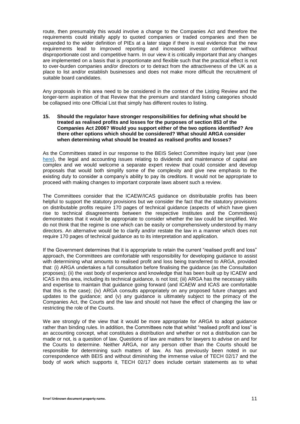route, then presumably this would involve a change to the Companies Act and therefore the requirements could initially apply to quoted companies or traded companies and then be expanded to the wider definition of PIEs at a later stage if there is real evidence that the new requirements lead to improved reporting and increased investor confidence without disproportionate cost and competitive harm. In our view it is critically important that any changes are implemented on a basis that is proportionate and flexible such that the practical effect is not to over-burden companies and/or directors or to detract from the attractiveness of the UK as a place to list and/or establish businesses and does not make more difficult the recruitment of suitable board candidates.

Any proposals in this area need to be considered in the context of the Listing Review and the longer-term aspiration of that Review that the premium and standard listing categories should be collapsed into one Official List that simply has different routes to listing.

#### **15. Should the regulator have stronger responsibilities for defining what should be treated as realised profits and losses for the purposes of section 853 of the Companies Act 2006? Would you support either of the two options identified? Are there other options which should be considered? What should ARGA consider when determining what should be treated as realised profits and losses?**

As the Committees stated in our response to the BEIS Select Committee inquiry last year (see [here\)](https://www.citysolicitors.org.uk/storage/2020/08/CLLS-and-Law-Society-response-to-BEIS-Committee-Audit-9-July-2020.pdf), the legal and accounting issues relating to dividends and maintenance of capital are complex and we would welcome a separate expert review that could consider and develop proposals that would both simplify some of the complexity and give new emphasis to the existing duty to consider a company's ability to pay its creditors. It would not be appropriate to proceed with making changes to important corporate laws absent such a review.

The Committees consider that the ICAEW/ICAS guidance on distributable profits has been helpful to support the statutory provisions but we consider the fact that the statutory provisions on distributable profits require 170 pages of technical guidance (aspects of which have given rise to technical disagreements between the respective Institutes and the Committees) demonstrates that it would be appropriate to consider whether the law could be simplified. We do not think that the regime is one which can be easily or comprehensively understood by many directors. An alternative would be to clarify and/or restate the law in a manner which does not require 170 pages of technical guidance as to its interpretation and application.

If the Government determines that it is appropriate to retain the current "realised profit and loss" approach, the Committees are comfortable with responsibility for developing guidance to assist with determining what amounts to realised profit and loss being transferred to ARGA, provided that: (i) ARGA undertakes a full consultation before finalising the guidance (as the Consultation proposes); (ii) the vast body of experience and knowledge that has been built up by ICAEW and ICAS in this area, including its technical guidance, is not lost; (iii) ARGA has the necessary skills and expertise to maintain that guidance going forward (and ICAEW and ICAS are comfortable that this is the case); (iv) ARGA consults appropriately on any proposed future changes and updates to the guidance; and (v) any guidance is ultimately subject to the primacy of the Companies Act, the Courts and the law and should not have the effect of changing the law or restricting the role of the Courts.

We are strongly of the view that it would be more appropriate for ARGA to adopt guidance rather than binding rules. In addition, the Committees note that whilst "realised profit and loss" is an accounting concept, what constitutes a distribution and whether or not a distribution can be made or not, is a question of law. Questions of law are matters for lawyers to advise on and for the Courts to determine. Neither ARGA, nor any person other than the Courts should be responsible for determining such matters of law. As has previously been noted in our correspondence with BEIS and without diminishing the immense value of TECH 02/17 and the body of work which supports it, TECH 02/17 does include certain statements as to what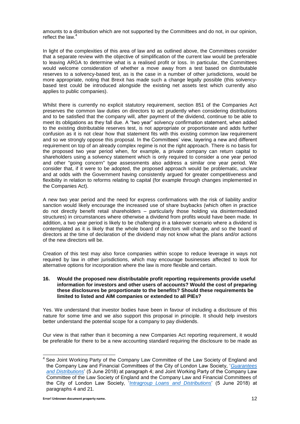amounts to a distribution which are not supported by the Committees and do not, in our opinion, reflect the law. 4

In light of the complexities of this area of law and as outlined above, the Committees consider that a separate review with the objective of simplification of the current law would be preferable to leaving ARGA to determine what is a realised profit or loss. In particular, the Committees would welcome consideration of whether a move away from a test based on distributable reserves to a solvency-based test, as is the case in a number of other jurisdictions, would be more appropriate, noting that Brexit has made such a change legally possible (this solvencybased test could be introduced alongside the existing net assets test which currently also applies to public companies).

Whilst there is currently no explicit statutory requirement, section 851 of the Companies Act preserves the common law duties on directors to act prudently when considering distributions and to be satisfied that the company will, after payment of the dividend, continue to be able to meet its obligations as they fall due. A "two year" solvency confirmation statement, when added to the existing distributable reserves test, is not appropriate or proportionate and adds further confusion as it is not clear how that statement fits with this existing common law requirement and so we strongly oppose this proposal. In the Committees' view, layering a new and different requirement on top of an already complex regime is not the right approach. There is no basis for the proposed two year period when, for example, a private company can return capital to shareholders using a solvency statement which is only required to consider a one year period and other "going concern" type assessments also address a similar one year period. We consider that, if it were to be adopted, the proposed approach would be problematic, unclear and at odds with the Government having consistently argued for greater competitiveness and flexibility in relation to reforms relating to capital (for example through changes implemented in the Companies Act).

A new two year period and the need for express confirmations with the risk of liability and/or sanction would likely encourage the increased use of share buybacks (which often in practice do not directly benefit retail shareholders – particularly those holding via disintermediated structures) in circumstances where otherwise a dividend from profits would have been made. In addition, a two year period is likely to be challenging in a takeover scenario where a dividend is contemplated as it is likely that the whole board of directors will change, and so the board of directors at the time of declaration of the dividend may not know what the plans and/or actions of the new directors will be.

Creation of this test may also force companies within scope to reduce leverage in ways not required by law in other jurisdictions, which may encourage businesses affected to look for alternative options for incorporation where the law is more flexible and certain.

## **16. Would the proposed new distributable profit reporting requirements provide useful information for investors and other users of accounts? Would the cost of preparing these disclosures be proportionate to the benefits? Should these requirements be limited to listed and AIM companies or extended to all PIEs?**

Yes. We understand that investor bodies have been in favour of including a disclosure of this nature for some time and we also support this proposal in principle. It should help investors better understand the potential scope for a company to pay dividends.

Our view is that rather than it becoming a new Companies Act reporting requirement, it would be preferable for there to be a new accounting standard requiring the disclosure to be made as

<sup>————————————————————&</sup>lt;br><sup>4</sup> See Joint Working Party of the Company Law Committee of the Law Society of England and the Company Law and Financial Committees of the City of London Law Society, '*[Guarantees](https://www.citysolicitors.org.uk/storage/2018/06/Guarantees-and-distributions-Company-and-Finance-Law-Committees-05-06-18.pdf)  [and Distributions](https://www.citysolicitors.org.uk/storage/2018/06/Guarantees-and-distributions-Company-and-Finance-Law-Committees-05-06-18.pdf)*' (5 June 2018) at paragraph 4; and Joint Working Party of the Company Law Committee of the Law Society of England and the Company Law and Financial Committees of the City of London Law Society, '*[Intragroup Loans and Distributions](https://www.citysolicitors.org.uk/storage/2018/06/Intra-group-loans-and-Distributions-Company-and-Financial-Law-committees-05-06-18.pdf)*' (5 June 2018) at paragraphs 4 and 21.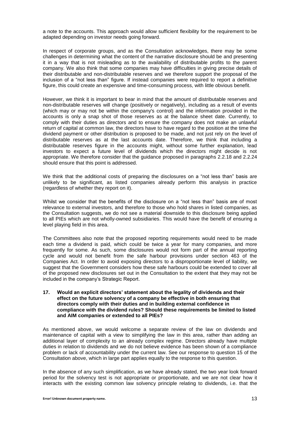a note to the accounts. This approach would allow sufficient flexibility for the requirement to be adapted depending on investor needs going forward.

In respect of corporate groups, and as the Consultation acknowledges, there may be some challenges in determining what the content of the narrative disclosure should be and presenting it in a way that is not misleading as to the availability of distributable profits to the parent company. We also think that some companies may have difficulties in giving precise details of their distributable and non-distributable reserves and we therefore support the proposal of the inclusion of a "not less than" figure. If instead companies were required to report a definitive figure, this could create an expensive and time-consuming process, with little obvious benefit.

However, we think it is important to bear in mind that the amount of distributable reserves and non-distributable reserves will change (positively or negatively), including as a result of events (which may or may not be within the company's control) and the information provided in the accounts is only a snap shot of those reserves as at the balance sheet date. Currently, to comply with their duties as directors and to ensure the company does not make an unlawful return of capital at common law, the directors have to have regard to the position at the time the dividend payment or other distribution is proposed to be made, and not just rely on the level of distributable reserves as at the last accounts date. Therefore, we think that including a distributable reserves figure in the accounts might, without some further explanation, lead investors to expect a future level of dividends which the directors might decide is not appropriate. We therefore consider that the guidance proposed in paragraphs 2.2.18 and 2.2.24 should ensure that this point is addressed.

We think that the additional costs of preparing the disclosures on a "not less than" basis are unlikely to be significant, as listed companies already perform this analysis in practice (regardless of whether they report on it).

Whilst we consider that the benefits of the disclosure on a "not less than" basis are of most relevance to external investors, and therefore to those who hold shares in listed companies, as the Consultation suggests, we do not see a material downside to this disclosure being applied to all PIEs which are not wholly-owned subsidiaries. This would have the benefit of ensuring a level playing field in this area.

The Committees also note that the proposed reporting requirements would need to be made each time a dividend is paid, which could be twice a year for many companies, and more frequently for some. As such, some disclosures would not form part of the annual reporting cycle and would not benefit from the safe harbour provisions under section 463 of the Companies Act. In order to avoid exposing directors to a disproportionate level of liability, we suggest that the Government considers how these safe harbours could be extended to cover all of the proposed new disclosures set out in the Consultation to the extent that they may not be included in the company's Strategic Report.

#### **17. Would an explicit directors' statement about the legality of dividends and their effect on the future solvency of a company be effective in both ensuring that directors comply with their duties and in building external confidence in compliance with the dividend rules? Should these requirements be limited to listed and AIM companies or extended to all PIEs?**

As mentioned above, we would welcome a separate review of the law on dividends and maintenance of capital with a view to simplifying the law in this area, rather than adding an additional layer of complexity to an already complex regime. Directors already have multiple duties in relation to dividends and we do not believe evidence has been shown of a compliance problem or lack of accountability under the current law. See our response to question 15 of the Consultation above, which in large part applies equally to the response to this question.

In the absence of any such simplification, as we have already stated, the two year look forward period for the solvency test is not appropriate or proportionate, and we are not clear how it interacts with the existing common law solvency principle relating to dividends, i.e. that the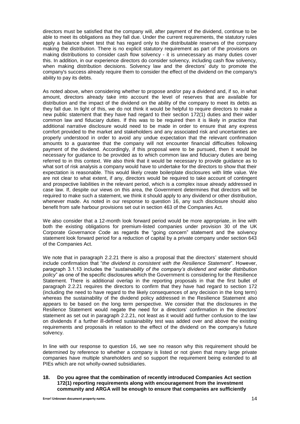directors must be satisfied that the company will, after payment of the dividend, continue to be able to meet its obligations as they fall due. Under the current requirements, the statutory rules apply a balance sheet test that has regard only to the distributable reserves of the company making the distribution. There is no explicit statutory requirement as part of the provisions on making distributions to consider cash flow solvency - it is unnecessary as many duties cover this. In addition, in our experience directors do consider solvency, including cash flow solvency, when making distribution decisions. Solvency law and the directors' duty to promote the company's success already require them to consider the effect of the dividend on the company's ability to pay its debts.

As noted above, when considering whether to propose and/or pay a dividend and, if so, in what amount, directors already take into account the level of reserves that are available for distribution and the impact of the dividend on the ability of the company to meet its debts as they fall due. In light of this, we do not think it would be helpful to require directors to make a new public statement that they have had regard to their section 172(1) duties and their wider common law and fiduciary duties. If this was to be required then it is likely in practice that additional narrative disclosure would need to be made in order to ensure that any express comfort provided to the market and stakeholders and any associated risk and uncertainties are properly understood in order to avoid any undue expectation that the relevant confirmation amounts to a guarantee that the company will not encounter financial difficulties following payment of the dividend. Accordingly, if this proposal were to be pursued, then it would be necessary for guidance to be provided as to which common law and fiduciary duties are being referred to in this context. We also think that it would be necessary to provide guidance as to what sort of risk analysis a company would have to undertake for the directors to show that their expectation is reasonable. This would likely create boilerplate disclosures with little value. We are not clear to what extent, if any, directors would be required to take account of contingent and prospective liabilities in the relevant period, which is a complex issue already addressed in case law. If, despite our views on this area, the Government determines that directors will be required to make such a statement, we think it should apply to any dividend or other distribution, whenever made. As noted in our response to question 16, any such disclosure should also benefit from safe harbour provisions set out in section 463 of the Companies Act.

We also consider that a 12-month look forward period would be more appropriate, in line with both the existing obligations for premium-listed companies under provision 30 of the UK Corporate Governance Code as regards the "going concern" statement and the solvency statement look forward period for a reduction of capital by a private company under section 643 of the Companies Act.

We note that in paragraph 2.2.21 there is also a proposal that the directors' statement should include confirmation that "*the dividend is consistent with the Resilience Statement*". However, paragraph 3.1.13 includes the "*sustainability of the company's dividend and wider distribution policy*" as one of the specific disclosures which the Government is considering for the Resilience Statement. There is additional overlap in the reporting proposals in that the first bullet of paragraph 2.2.21 requires the directors to confirm that they have had regard to section 172 (including the need to have regard to the likely consequences of any decision in the long term) whereas the sustainability of the dividend policy addressed in the Resilience Statement also appears to be based on the long term perspective. We consider that the disclosures in the Resilience Statement would negate the need for a directors' confirmation in the directors' statement as set out in paragraph 2.2.21, not least as it would add further confusion to the law on dividends if a further ill-defined sustainability test was added over and above the existing requirements and proposals in relation to the effect of the dividend on the company's future solvency.

In line with our response to question 16, we see no reason why this requirement should be determined by reference to whether a company is listed or not given that many large private companies have multiple shareholders and so support the requirement being extended to all PIEs which are not wholly-owned subsidiaries.

**18. Do you agree that the combination of recently introduced Companies Act section 172(1) reporting requirements along with encouragement from the investment community and ARGA will be enough to ensure that companies are sufficiently**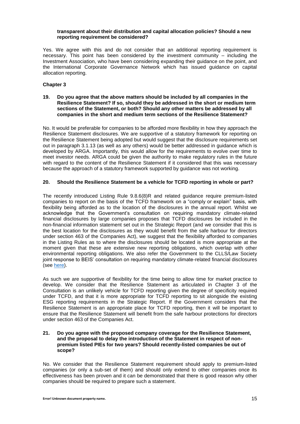#### **transparent about their distribution and capital allocation policies? Should a new reporting requirement be considered?**

Yes. We agree with this and do not consider that an additional reporting requirement is necessary. This point has been considered by the investment community – including the Investment Association, who have been considering expanding their guidance on the point, and the International Corporate Governance Network which has issued guidance on capital allocation reporting.

# **Chapter 3**

## **19. Do you agree that the above matters should be included by all companies in the Resilience Statement? If so, should they be addressed in the short or medium term sections of the Statement, or both? Should any other matters be addressed by all companies in the short and medium term sections of the Resilience Statement?**

No. It would be preferable for companies to be afforded more flexibility in how they approach the Resilience Statement disclosures. We are supportive of a statutory framework for reporting on the Resilience Statement being adopted but would suggest that the disclosure requirements set out in paragraph 3.1.13 (as well as any others) would be better addressed in guidance which is developed by ARGA. Importantly, this would allow for the requirements to evolve over time to meet investor needs. ARGA could be given the authority to make regulatory rules in the future with regard to the content of the Resilience Statement if it considered that this was necessary because the approach of a statutory framework supported by guidance was not working.

# **20. Should the Resilience Statement be a vehicle for TCFD reporting in whole or part?**

The recently introduced Listing Rule 9.8.6(8)R and related guidance require premium-listed companies to report on the basis of the TCFD framework on a "comply or explain" basis, with flexibility being afforded as to the location of the disclosures in the annual report. Whilst we acknowledge that the Government's consultation on requiring mandatory climate-related financial disclosures by large companies proposes that TCFD disclosures be included in the non-financial information statement set out in the Strategic Report (and we consider that this is the best location for the disclosures as they would benefit from the safe harbour for directors under section 463 of the Companies Act), we suggest that the flexibility afforded to companies in the Listing Rules as to where the disclosures should be located is more appropriate at the moment given that these are extensive new reporting obligations, which overlap with other environmental reporting obligations. We also refer the Government to the CLLS/Law Society joint response to BEIS' consultation on requiring mandatory climate-related financial disclosures (see [here\)](https://www.citysolicitors.org.uk/storage/2021/05/CLLS-Response-to-Consultation-on-requiring-mandatory-TCFD-12-05-21.pdf).

As such we are supportive of flexibility for the time being to allow time for market practice to develop. We consider that the Resilience Statement as articulated in Chapter 3 of the Consultation is an unlikely vehicle for TCFD reporting given the degree of specificity required under TCFD, and that it is more appropriate for TCFD reporting to sit alongside the existing ESG reporting requirements in the Strategic Report. If the Government considers that the Resilience Statement is an appropriate place for TCFD reporting, then it will be important to ensure that the Resilience Statement will benefit from the safe harbour protections for directors under section 463 of the Companies Act.

#### **21. Do you agree with the proposed company coverage for the Resilience Statement, and the proposal to delay the introduction of the Statement in respect of nonpremium listed PIEs for two years? Should recently-listed companies be out of scope?**

No. We consider that the Resilience Statement requirement should apply to premium-listed companies (or only a sub-set of them) and should only extend to other companies once its effectiveness has been proven and it can be demonstrated that there is good reason why other companies should be required to prepare such a statement.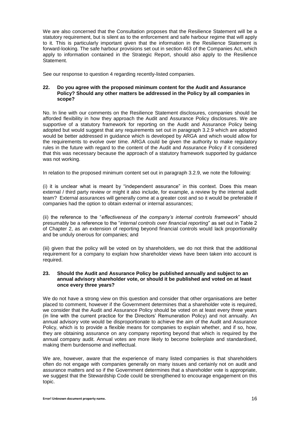We are also concerned that the Consultation proposes that the Resilience Statement will be a statutory requirement, but is silent as to the enforcement and safe harbour regime that will apply to it. This is particularly important given that the information in the Resilience Statement is forward-looking. The safe harbour provisions set out in section 463 of the Companies Act, which apply to information contained in the Strategic Report, should also apply to the Resilience Statement.

See our response to question 4 regarding recently-listed companies.

## **22. Do you agree with the proposed minimum content for the Audit and Assurance Policy? Should any other matters be addressed in the Policy by all companies in scope?**

No. In line with our comments on the Resilience Statement disclosures, companies should be afforded flexibility in how they approach the Audit and Assurance Policy disclosures. We are supportive of a statutory framework for reporting on the Audit and Assurance Policy being adopted but would suggest that any requirements set out in paragraph 3.2.9 which are adopted would be better addressed in guidance which is developed by ARGA and which would allow for the requirements to evolve over time. ARGA could be given the authority to make regulatory rules in the future with regard to the content of the Audit and Assurance Policy if it considered that this was necessary because the approach of a statutory framework supported by guidance was not working.

In relation to the proposed minimum content set out in paragraph 3.2.9, we note the following:

(i) it is unclear what is meant by "independent assurance" in this context. Does this mean external / third party review or might it also include, for example, a review by the internal audit team? External assurances will generally come at a greater cost and so it would be preferable if companies had the option to obtain external or internal assurances;

(ii) the reference to the "*effectiveness of the company's internal controls framework*" should presumably be a reference to the "*internal controls over financial reporting*" as set out in Table 2 of Chapter 2, as an extension of reporting beyond financial controls would lack proportionality and be unduly onerous for companies; and

(iii) given that the policy will be voted on by shareholders, we do not think that the additional requirement for a company to explain how shareholder views have been taken into account is required.

#### **23. Should the Audit and Assurance Policy be published annually and subject to an annual advisory shareholder vote, or should it be published and voted on at least once every three years?**

We do not have a strong view on this question and consider that other organisations are better placed to comment, however if the Government determines that a shareholder vote is required, we consider that the Audit and Assurance Policy should be voted on at least every three years (in line with the current practice for the Directors' Remuneration Policy) and not annually. An annual advisory vote would be disproportionate to achieve the aim of the Audit and Assurance Policy, which is to provide a flexible means for companies to explain whether, and if so, how, they are obtaining assurance on any company reporting beyond that which is required by the annual company audit. Annual votes are more likely to become boilerplate and standardised, making them burdensome and ineffectual.

We are, however, aware that the experience of many listed companies is that shareholders often do not engage with companies generally on many issues and certainly not on audit and assurance matters and so if the Government determines that a shareholder vote is appropriate, we suggest that the Stewardship Code could be strengthened to encourage engagement on this topic.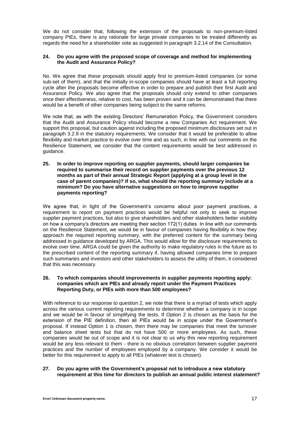We do not consider that, following the extension of the proposals to non-premium-listed company PIEs, there is any rationale for large private companies to be treated differently as regards the need for a shareholder vote as suggested in paragraph 3.2.14 of the Consultation.

# **24. Do you agree with the proposed scope of coverage and method for implementing the Audit and Assurance Policy?**

No. We agree that these proposals should apply first to premium-listed companies (or some sub-set of them), and that the initially in-scope companies should have at least a full reporting cycle after the proposals become effective in order to prepare and publish their first Audit and Assurance Policy. We also agree that the proposals should only extend to other companies once their effectiveness, relative to cost, has been proven and it can be demonstrated that there would be a benefit of other companies being subject to the same reforms.

We note that, as with the existing Directors' Remuneration Policy, the Government considers that the Audit and Assurance Policy should become a new Companies Act requirement. We support this proposal, but caution against including the proposed minimum disclosures set out in paragraph 3.2.9 in the statutory requirements. We consider that it would be preferable to allow flexibility and market practice to evolve over time and as such, in line with our comments on the Resilience Statement, we consider that the content requirements would be best addressed in guidance.

**25. In order to improve reporting on supplier payments, should larger companies be required to summarise their record on supplier payments over the previous 12 months as part of their annual Strategic Report (applying at a group level in the case of parent companies)? If so, what should the reporting summary include at a minimum? Do you have alternative suggestions on how to improve supplier payments reporting?**

We agree that, in light of the Government's concerns about poor payment practices, a requirement to report on payment practices would be helpful not only to seek to improve supplier payment practices, but also to give shareholders and other stakeholders better visibility on how a company's directors are meeting their section 172(1) duties. In line with our comments on the Resilience Statement, we would be in favour of companies having flexibility in how they approach the required reporting summary, with the preferred content for the summary being addressed in guidance developed by ARGA. This would allow for the disclosure requirements to evolve over time. ARGA could be given the authority to make regulatory rules in the future as to the prescribed content of the reporting summary if, having allowed companies time to prepare such summaries and investors and other stakeholders to assess the utility of them, it considered that this was necessary.

# **26. To which companies should improvements in supplier payments reporting apply: companies which are PIEs and already report under the Payment Practices Reporting Duty, or PIEs with more than 500 employees?**

With reference to our response to question 2, we note that there is a myriad of tests which apply across the various current reporting requirements to determine whether a company is in scope and we would be in favour of simplifying the tests. If Option 2 is chosen as the basis for the extension of the PIE definition, then all PIEs would be in scope under the Government's proposal. If instead Option 1 is chosen, then there may be companies that meet the turnover and balance sheet tests but that do not have 500 or more employees. As such, these companies would be out of scope and it is not clear to us why this new reporting requirement would be any less relevant to them - there is no obvious correlation between supplier payment practices and the number of employees employed by a company. We consider it would be better for this requirement to apply to all PIEs (whatever test is chosen).

# **27. Do you agree with the Government's proposal not to introduce a new statutory requirement at this time for directors to publish an annual public interest statement?**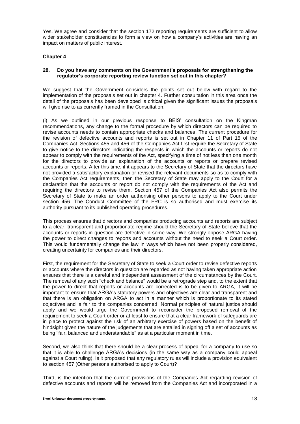Yes. We agree and consider that the section 172 reporting requirements are sufficient to allow wider stakeholder constituencies to form a view on how a company's activities are having an impact on matters of public interest.

# **Chapter 4**

# **28. Do you have any comments on the Government's proposals for strengthening the regulator's corporate reporting review function set out in this chapter?**

We suggest that the Government considers the points set out below with regard to the implementation of the proposals set out in chapter 4. Further consultation in this area once the detail of the proposals has been developed is critical given the significant issues the proposals will give rise to as currently framed in the Consultation.

(i) As we outlined in our previous response to BEIS' consultation on the Kingman recommendations, any change to the formal procedure by which directors can be required to revise accounts needs to contain appropriate checks and balances. The current procedure for the revision of defective accounts and reports is set out in Chapter 11 of Part 15 of the Companies Act. Sections 455 and 456 of the Companies Act first require the Secretary of State to give notice to the directors indicating the respects in which the accounts or reports do not appear to comply with the requirements of the Act, specifying a time of not less than one month for the directors to provide an explanation of the accounts or reports or prepare revised accounts or reports. After this time, if it appears to the Secretary of State that the directors have not provided a satisfactory explanation or revised the relevant documents so as to comply with the Companies Act requirements, then the Secretary of State may apply to the Court for a declaration that the accounts or report do not comply with the requirements of the Act and requiring the directors to revise them. Section 457 of the Companies Act also permits the Secretary of State to make an order authorising other persons to apply to the Court under section 456. The Conduct Committee of the FRC is so authorised and must exercise its authority pursuant to its published operating procedures.

This process ensures that directors and companies producing accounts and reports are subject to a clear, transparent and proportionate regime should the Secretary of State believe that the accounts or reports in question are defective in some way. We strongly oppose ARGA having the power to direct changes to reports and accounts without the need to seek a Court order. This would fundamentally change the law in ways which have not been properly considered, creating uncertainty for companies and their directors.

First, the requirement for the Secretary of State to seek a Court order to revise defective reports or accounts where the directors in question are regarded as not having taken appropriate action ensures that there is a careful and independent assessment of the circumstances by the Court. The removal of any such "check and balance" would be a retrograde step and, to the extent that the power to direct that reports or accounts are corrected is to be given to ARGA, it will be important to ensure that ARGA's statutory powers and objectives are clear and transparent and that there is an obligation on ARGA to act in a manner which is proportionate to its stated objectives and is fair to the companies concerned. Normal principles of natural justice should apply and we would urge the Government to reconsider the proposed removal of the requirement to seek a Court order or at least to ensure that a clear framework of safeguards are in place to protect against the risk of an arbitrary exercise of powers based on the benefit of hindsight given the nature of the judgements that are entailed in signing off a set of accounts as being "fair, balanced and understandable" as at a particular moment in time.

Second, we also think that there should be a clear process of appeal for a company to use so that it is able to challenge ARGA's decisions (in the same way as a company could appeal against a Court ruling). Is it proposed that any regulatory rules will include a provision equivalent to section 457 (Other persons authorised to apply to Court)?

Third, is the intention that the current provisions of the Companies Act regarding revision of defective accounts and reports will be removed from the Companies Act and incorporated in a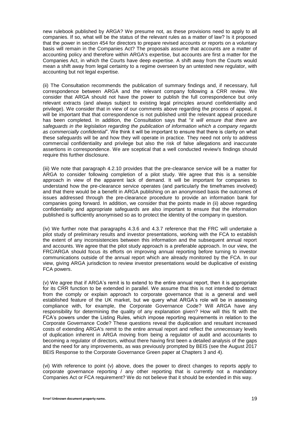new rulebook published by ARGA? We presume not, as these provisions need to apply to all companies. If so, what will be the status of the relevant rules as a matter of law? Is it proposed that the power in section 454 for directors to prepare revised accounts or reports on a voluntary basis will remain in the Companies Act? The proposals assume that accounts are a matter of accounting policy and therefore within ARGA's expertise, but accounts are first a matter for the Companies Act, in which the Courts have deep expertise. A shift away from the Courts would mean a shift away from legal certainty to a regime overseen by an untested new regulator, with accounting but not legal expertise.

(ii) The Consultation recommends the publication of summary findings and, if necessary, full correspondence between ARGA and the relevant company following a CRR review. We consider that ARGA should not have the power to publish the full correspondence but only relevant extracts (and always subject to existing legal principles around confidentiality and privilege). We consider that in view of our comments above regarding the process of appeal, it will be important that that correspondence is not published until the relevant appeal procedure has been completed. In addition, the Consultation says that "*it will ensure that there are safeguards in the legislation regarding the publication of information which a company regards as commercially confidential*". We think it will be important to ensure that there is clarity on what these safeguards will be and how they will operate in practice. They need not only to address commercial confidentiality and privilege but also the risk of false allegations and inaccurate assertions in correspondence. We are sceptical that a well conducted review's findings should require this further disclosure.

(iii) We note that paragraph 4.2.10 provides that the pre-clearance service will be a matter for ARGA to consider following completion of a pilot study. We agree that this is a sensible approach in view of the apparent lack of demand. It will be important for companies to understand how the pre-clearance service operates (and particularly the timeframes involved) and that there would be a benefit in ARGA publishing on an anonymised basis the outcomes of issues addressed through the pre-clearance procedure to provide an information bank for companies going forward. In addition, we consider that the points made in (ii) above regarding confidentiality and appropriate safeguards are also important to ensure that the information published is sufficiently anonymised so as to protect the identity of the company in question.

(iv) We further note that paragraphs 4.3.6 and 4.3.7 reference that the FRC will undertake a pilot study of preliminary results and investor presentations, working with the FCA to establish the extent of any inconsistencies between this information and the subsequent annual report and accounts. We agree that the pilot study approach is a preferable approach. In our view, the FRC/ARGA should focus its efforts on improving annual reporting before turning to investor communications outside of the annual report which are already monitored by the FCA. In our view, giving ARGA jurisdiction to review investor presentations would be duplicative of existing FCA powers.

(v) We agree that if ARGA's remit is to extend to the entire annual report, then it is appropriate for its CRR function to be extended in parallel. We assume that this is not intended to detract from the comply or explain approach to corporate governance that is a general and well established feature of the UK market, but we query what ARGA's role will be in assessing compliance with, for example, the Corporate Governance Code? Will ARGA have any responsibility for determining the quality of any explanation given? How will this fit with the FCA's powers under the Listing Rules, which impose reporting requirements in relation to the Corporate Governance Code? These questions reveal the duplication and resultant increased costs of extending ARGA's remit to the entire annual report and reflect the unnecessary levels of duplication inherent in ARGA moving from being a regulator of audit and accountants to becoming a regulator of directors, without there having first been a detailed analysis of the gaps and the need for any improvements, as was previously prompted by BEIS (see the August 2017 BEIS Response to the Corporate Governance Green paper at Chapters 3 and 4).

(vi) With reference to point (v) above, does the power to direct changes to reports apply to corporate governance reporting / any other reporting that is currently not a mandatory Companies Act or FCA requirement? We do not believe that it should be extended in this way.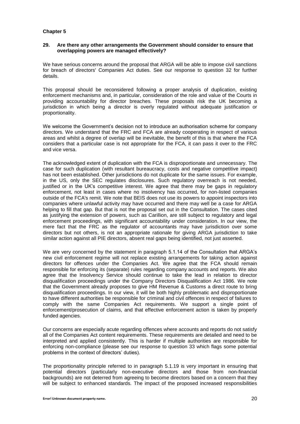# **Chapter 5**

#### **29. Are there any other arrangements the Government should consider to ensure that overlapping powers are managed effectively?**

We have serious concerns around the proposal that ARGA will be able to impose civil sanctions for breach of directors' Companies Act duties. See our response to question 32 for further details.

This proposal should be reconsidered following a proper analysis of duplication, existing enforcement mechanisms and, in particular, consideration of the role and value of the Courts in providing accountability for director breaches. These proposals risk the UK becoming a jurisdiction in which being a director is overly regulated without adequate justification or proportionality.

We welcome the Government's decision not to introduce an authorisation scheme for company directors. We understand that the FRC and FCA are already cooperating in respect of various areas and whilst a degree of overlap will be inevitable, the benefit of this is that where the FCA considers that a particular case is not appropriate for the FCA, it can pass it over to the FRC and vice versa.

The acknowledged extent of duplication with the FCA is disproportionate and unnecessary. The case for such duplication (with resultant bureaucracy, costs and negative competitive impact) has not been established. Other jurisdictions do not duplicate for the same issues. For example, in the US, only the SEC regulates disclosures. Such regulatory overreach is not needed, justified or in the UK's competitive interest. We agree that there may be gaps in regulatory enforcement, not least in cases where no insolvency has occurred, for non-listed companies outside of the FCA's remit. We note that BEIS does not use its powers to appoint inspectors into companies where unlawful activity may have occurred and there may well be a case for ARGA helping to fill that gap. But that is not the proposal set out in the Consultation. The cases cited as justifying the extension of powers, such as Carillion, are still subject to regulatory and legal enforcement proceedings, with significant accountability under consideration. In our view, the mere fact that the FRC as the regulator of accountants may have jurisdiction over some directors but not others, is not an appropriate rationale for giving ARGA jurisdiction to take similar action against all PIE directors, absent real gaps being identified, not just asserted.

We are very concerned by the statement in paragraph 5.1.14 of the Consultation that ARGA's new civil enforcement regime will not replace existing arrangements for taking action against directors for offences under the Companies Act. We agree that the FCA should remain responsible for enforcing its (separate) rules regarding company accounts and reports. We also agree that the Insolvency Service should continue to take the lead in relation to director disqualification proceedings under the Company Directors Disqualification Act 1986. We note that the Government already proposes to give HM Revenue & Customs a direct route to bring disqualification proceedings. In our view, it will be both highly problematic and disproportionate to have different authorities be responsible for criminal and civil offences in respect of failures to comply with the same Companies Act requirements. We support a single point of enforcement/prosecution of claims, and that effective enforcement action is taken by properly funded agencies.

Our concerns are especially acute regarding offences where accounts and reports do not satisfy all of the Companies Act content requirements. These requirements are detailed and need to be interpreted and applied consistently. This is harder if multiple authorities are responsible for enforcing non-compliance (please see our response to question 33 which flags some potential problems in the context of directors' duties).

The proportionality principle referred to in paragraph 5.1.19 is very important in ensuring that potential directors (particularly non-executive directors and those from non-financial backgrounds) are not deterred from agreeing to become directors based on a concern that they will be subject to enhanced standards. The impact of the proposed increased responsibilities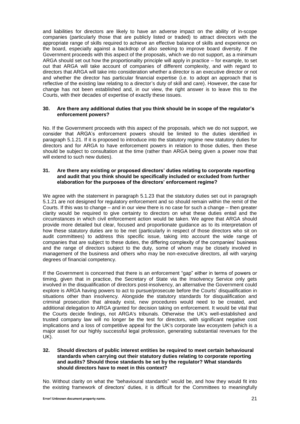and liabilities for directors are likely to have an adverse impact on the ability of in-scope companies (particularly those that are publicly listed or traded) to attract directors with the appropriate range of skills required to achieve an effective balance of skills and experience on the board, especially against a backdrop of also seeking to improve board diversity. If the Government proceeds with this aspect of the proposals, which we do not support, as a minimum ARGA should set out how the proportionality principle will apply in practice – for example, to set out that ARGA will take account of companies of different complexity, and with regard to directors that ARGA will take into consideration whether a director is an executive director or not and whether the director has particular financial expertise (i.e. to adopt an approach that is reflective of the existing law relating to a director's duty of skill and care). However, the case for change has not been established and, in our view, the right answer is to leave this to the Courts, with their decades of expertise of exactly these issues.

## **30. Are there any additional duties that you think should be in scope of the regulator's enforcement powers?**

No. If the Government proceeds with this aspect of the proposals, which we do not support, we consider that ARGA's enforcement powers should be limited to the duties identified in paragraph 5.1.21. If it is proposed to introduce into the statutory regime new statutory duties for directors and for ARGA to have enforcement powers in relation to those duties, then these should be subject to consultation at the time (rather than ARGA being given a power now that will extend to such new duties).

#### **31. Are there any existing or proposed directors' duties relating to corporate reporting and audit that you think should be specifically included or excluded from further elaboration for the purposes of the directors' enforcement regime?**

We agree with the statement in paragraph 5.1.23 that the statutory duties set out in paragraph 5.1.21 are not designed for regulatory enforcement and so should remain within the remit of the Courts. If this was to change – and in our view there is no case for such a change – then greater clarity would be required to give certainty to directors on what these duties entail and the circumstances in which civil enforcement action would be taken. We agree that ARGA should provide more detailed but clear, focused and proportionate guidance as to its interpretation of how these statutory duties are to be met (particularly in respect of those directors who sit on audit committees) to address this specific issue, taking into account the wide range of companies that are subject to these duties, the differing complexity of the companies' business and the range of directors subject to the duty, some of whom may be closely involved in management of the business and others who may be non-executive directors, all with varying degrees of financial competency.

If the Government is concerned that there is an enforcement "gap" either in terms of powers or timing, given that in practice, the Secretary of State via the Insolvency Service only gets involved in the disqualification of directors post-insolvency, an alternative the Government could explore is ARGA having powers to act to pursue/prosecute before the Courts' disqualification in situations other than insolvency. Alongside the statutory standards for disqualification and criminal prosecution that already exist, new procedures would need to be created, and additional delegation to ARGA granted for decision taking on enforcement. It would be vital that the Courts decide findings, not ARGA's tribunals. Otherwise the UK's well-established and trusted company law will no longer be the test for directors, with significant negative cost implications and a loss of competitive appeal for the UK's corporate law ecosystem (which is a major asset for our highly successful legal profession, generating substantial revenues for the UK).

## **32. Should directors of public interest entities be required to meet certain behavioural standards when carrying out their statutory duties relating to corporate reporting and audits? Should those standards be set by the regulator? What standards should directors have to meet in this context?**

No. Without clarity on what the "behavioural standards" would be, and how they would fit into the existing framework of directors' duties, it is difficult for the Committees to meaningfully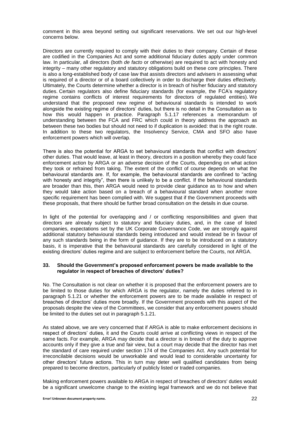comment in this area beyond setting out significant reservations. We set out our high-level concerns below.

Directors are currently required to comply with their duties to their company. Certain of these are codified in the Companies Act and some additional fiduciary duties apply under common law. In particular, all directors (both *de facto* or otherwise) are required to act with honesty and integrity – many other regulatory and statutory obligations build on these core principles. There is also a long-established body of case law that assists directors and advisers in assessing what is required of a director or of a board collectively in order to discharge their duties effectively. Ultimately, the Courts determine whether a director is in breach of his/her fiduciary and statutory duties. Certain regulators also define fiduciary standards (for example, the FCA's regulatory regime contains conflicts of interest requirements for directors of regulated entities). We understand that the proposed new regime of behavioural standards is intended to work alongside the existing regime of directors' duties, but there is no detail in the Consultation as to how this would happen in practice. Paragraph 5.1.17 references a memorandum of understanding between the FCA and FRC which could in theory address the approach as between these two bodies but should not need to if duplication is avoided: that is the right route. In addition to these two regulators, the Insolvency Service, CMA and SFO also have enforcement powers which will overlap.

There is also the potential for ARGA to set behavioural standards that conflict with directors' other duties. That would leave, at least in theory, directors in a position whereby they could face enforcement action by ARGA or an adverse decision of the Courts, depending on what action they took or refrained from taking. The extent of the conflict of course depends on what the behavioural standards are. If, for example, the behavioural standards are confined to "acting with honesty and integrity", then there is unlikely to be a conflict. If the behavioural standards are broader than this, then ARGA would need to provide clear guidance as to how and when they would take action based on a breach of a behavioural standard when another more specific requirement has been complied with. We suggest that if the Government proceeds with these proposals, that there should be further broad consultation on the details in due course.

In light of the potential for overlapping and / or conflicting responsibilities and given that directors are already subject to statutory and fiduciary duties, and, in the case of listed companies, expectations set by the UK Corporate Governance Code, we are strongly against additional statutory behavioural standards being introduced and would instead be in favour of any such standards being in the form of guidance. If they are to be introduced on a statutory basis, it is imperative that the behavioural standards are carefully considered in light of the existing directors' duties regime and are subject to enforcement before the Courts, not ARGA.

# **33. Should the Government's proposed enforcement powers be made available to the regulator in respect of breaches of directors' duties?**

No. The Consultation is not clear on whether it is proposed that the enforcement powers are to be limited to those duties for which ARGA is the regulator, namely the duties referred to in paragraph 5.1.21 or whether the enforcement powers are to be made available in respect of breaches of directors' duties more broadly. If the Government proceeds with this aspect of the proposals despite the view of the Committees, we consider that any enforcement powers should be limited to the duties set out in paragraph 5.1.21.

As stated above, we are very concerned that if ARGA is able to make enforcement decisions in respect of directors' duties, it and the Courts could arrive at conflicting views in respect of the same facts. For example, ARGA may decide that a director is in breach of the duty to approve accounts only if they give a true and fair view, but a court may decide that the director has met the standard of care required under section 174 of the Companies Act. Any such potential for irreconcilable decisions would be unworkable and would lead to considerable uncertainty for other directors' future actions. This in turn may deter well qualified candidates from being prepared to become directors, particularly of publicly listed or traded companies.

Making enforcement powers available to ARGA in respect of breaches of directors' duties would be a significant unwelcome change to the existing legal framework and we do not believe that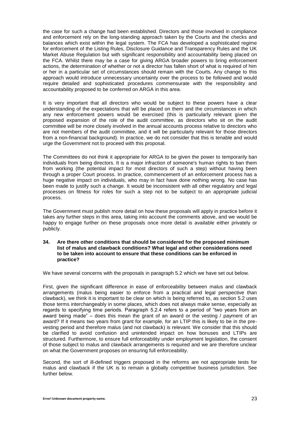the case for such a change had been established. Directors and those involved in compliance and enforcement rely on the long-standing approach taken by the Courts and the checks and balances which exist within the legal system. The FCA has developed a sophisticated regime for enforcement of the Listing Rules, Disclosure Guidance and Transparency Rules and the UK Market Abuse Regulation but with significant responsibility and accountability being placed on the FCA. Whilst there may be a case for giving ARGA broader powers to bring enforcement actions, the determination of whether or not a director has fallen short of what is required of him or her in a particular set of circumstances should remain with the Courts. Any change to this approach would introduce unnecessary uncertainty over the process to be followed and would require detailed and sophisticated procedures commensurate with the responsibility and accountability proposed to be conferred on ARGA in this area.

It is very important that all directors who would be subject to these powers have a clear understanding of the expectations that will be placed on them and the circumstances in which any new enforcement powers would be exercised (this is particularly relevant given the proposed expansion of the role of the audit committee, as directors who sit on the audit committee will be more closely involved in the annual accounts process relative to directors who are not members of the audit committee, and it will be particularly relevant for those directors from a non-financial background). In practice, we do not consider that this is tenable and would urge the Government not to proceed with this proposal.

The Committees do not think it appropriate for ARGA to be given the power to temporarily ban individuals from being directors. It is a major infraction of someone's human rights to ban them from working (the potential impact for most directors of such a step) without having been through a proper Court process. In practice, commencement of an enforcement process has a huge negative impact on individuals, who may in fact have done nothing wrong. No case has been made to justify such a change. It would be inconsistent with all other regulatory and legal processes on fitness for roles for such a step not to be subject to an appropriate judicial process.

The Government must publish more detail on how these proposals will apply in practice before it takes any further steps in this area, taking into account the comments above, and we would be happy to engage further on these proposals once more detail is available either privately or publicly.

#### **34. Are there other conditions that should be considered for the proposed minimum list of malus and clawback conditions? What legal and other considerations need to be taken into account to ensure that these conditions can be enforced in practice?**

We have several concerns with the proposals in paragraph 5.2 which we have set out below.

First, given the significant difference in ease of enforceability between malus and clawback arrangements (malus being easier to enforce from a practical and legal perspective than clawback), we think it is important to be clear on which is being referred to, as section 5.2 uses those terms interchangeably in some places, which does not always make sense, especially as regards to specifying time periods. Paragraph 5.2.4 refers to a period of "two years from an award being made" – does this mean the grant of an award or the vesting  $/$  payment of an award? If it means two years from grant for example, for an LTIP this is likely to be in the prevesting period and therefore malus (and not clawback) is relevant. We consider that this should be clarified to avoid confusion and unintended impact on how bonuses and LTIPs are structured. Furthermore, to ensure full enforceability under employment legislation, the consent of those subject to malus and clawback arrangements is required and we are therefore unclear on what the Government proposes on ensuring full enforceability.

Second, the sort of ill-defined triggers proposed in the reforms are not appropriate tests for malus and clawback if the UK is to remain a globally competitive business jurisdiction. See further below.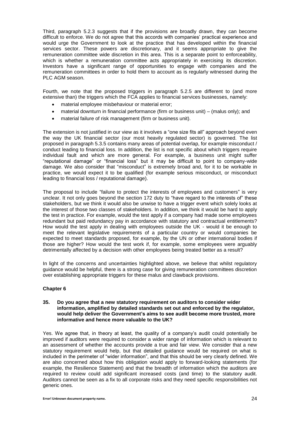Third, paragraph 5.2.3 suggests that if the provisions are broadly drawn, they can become difficult to enforce. We do not agree that this accords with companies' practical experience and would urge the Government to look at the practice that has developed within the financial services sector. These powers are discretionary, and it seems appropriate to give the remuneration committee wide discretion in this area. This is a separate point to enforceability, which is whether a remuneration committee acts appropriately in exercising its discretion. Investors have a significant range of opportunities to engage with companies and the remuneration committees in order to hold them to account as is regularly witnessed during the PLC AGM season.

Fourth, we note that the proposed triggers in paragraph 5.2.5 are different to (and more extensive than) the triggers which the FCA applies to financial services businesses, namely:

- material employee misbehaviour or material error;
- material downturn in financial performance (firm or business unit) (malus only); and
- material failure of risk management (firm or business unit).

The extension is not justified in our view as it involves a "one size fits all" approach beyond even the way the UK financial sector (our most heavily regulated sector) is governed. The list proposed in paragraph 5.3.5 contains many areas of potential overlap, for example misconduct / conduct leading to financial loss. In addition, the list is not specific about which triggers require individual fault and which are more general. For example, a business unit might suffer "reputational damage" or "financial loss" but it may be difficult to point to company-wide damage. We also consider that "misconduct" is extremely broad and, for it to be workable in practice, we would expect it to be qualified (for example serious misconduct, or misconduct leading to financial loss / reputational damage).

The proposal to include "failure to protect the interests of employees and customers" is very unclear. It not only goes beyond the section 172 duty to "have regard to the interests of" these stakeholders, but we think it would also be unwise to have a trigger event which solely looks at the interest of those two classes of stakeholders. In addition, we think it would be hard to apply the test in practice. For example, would the test apply if a company had made some employees redundant but paid redundancy pay in accordance with statutory and contractual entitlements? How would the test apply in dealing with employees outside the UK - would it be enough to meet the relevant legislative requirements of a particular country or would companies be expected to meet standards proposed, for example, by the UN or other international bodies if those are higher? How would the test work if, for example, some employees were arguably detrimentally affected by a decision with other employees being treated better as a result?

In light of the concerns and uncertainties highlighted above, we believe that whilst regulatory guidance would be helpful, there is a strong case for giving remuneration committees discretion over establishing appropriate triggers for these malus and clawback provisions.

# **Chapter 6**

#### **35. Do you agree that a new statutory requirement on auditors to consider wider information, amplified by detailed standards set out and enforced by the regulator, would help deliver the Government's aims to see audit become more trusted, more informative and hence more valuable to the UK?**

Yes. We agree that, in theory at least, the quality of a company's audit could potentially be improved if auditors were required to consider a wider range of information which is relevant to an assessment of whether the accounts provide a true and fair view. We consider that a new statutory requirement would help, but that detailed guidance would be required on what is included in the perimeter of "wider information", and that this should be very clearly defined. We are also concerned about how this obligation would apply to forward-looking statements (for example, the Resilience Statement) and that the breadth of information which the auditors are required to review could add significant increased costs (and time) to the statutory audit. Auditors cannot be seen as a fix to all corporate risks and they need specific responsibilities not generic ones.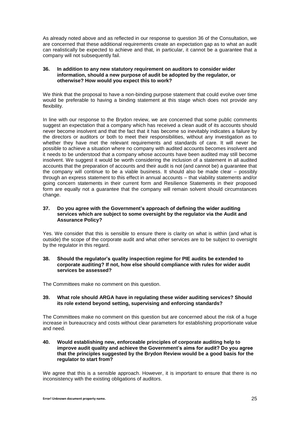As already noted above and as reflected in our response to question 36 of the Consultation, we are concerned that these additional requirements create an expectation gap as to what an audit can realistically be expected to achieve and that, in particular, it cannot be a guarantee that a company will not subsequently fail.

#### **36. In addition to any new statutory requirement on auditors to consider wider information, should a new purpose of audit be adopted by the regulator, or otherwise? How would you expect this to work?**

We think that the proposal to have a non-binding purpose statement that could evolve over time would be preferable to having a binding statement at this stage which does not provide any flexibility.

In line with our response to the Brydon review, we are concerned that some public comments suggest an expectation that a company which has received a clean audit of its accounts should never become insolvent and that the fact that it has become so inevitably indicates a failure by the directors or auditors or both to meet their responsibilities, without any investigation as to whether they have met the relevant requirements and standards of care. It will never be possible to achieve a situation where no company with audited accounts becomes insolvent and it needs to be understood that a company whose accounts have been audited may still become insolvent. We suggest it would be worth considering the inclusion of a statement in all audited accounts that the preparation of accounts and their audit is not (and cannot be) a guarantee that the company will continue to be a viable business. It should also be made clear – possibly through an express statement to this effect in annual accounts – that viability statements and/or going concern statements in their current form and Resilience Statements in their proposed form are equally not a guarantee that the company will remain solvent should circumstances change.

## **37. Do you agree with the Government's approach of defining the wider auditing services which are subject to some oversight by the regulator via the Audit and Assurance Policy?**

Yes. We consider that this is sensible to ensure there is clarity on what is within (and what is outside) the scope of the corporate audit and what other services are to be subject to oversight by the regulator in this regard.

## **38. Should the regulator's quality inspection regime for PIE audits be extended to corporate auditing? If not, how else should compliance with rules for wider audit services be assessed?**

The Committees make no comment on this question.

# **39. What role should ARGA have in regulating these wider auditing services? Should its role extend beyond setting, supervising and enforcing standards?**

The Committees make no comment on this question but are concerned about the risk of a huge increase in bureaucracy and costs without clear parameters for establishing proportionate value and need.

## **40. Would establishing new, enforceable principles of corporate auditing help to improve audit quality and achieve the Government's aims for audit? Do you agree that the principles suggested by the Brydon Review would be a good basis for the regulator to start from?**

We agree that this is a sensible approach. However, it is important to ensure that there is no inconsistency with the existing obligations of auditors.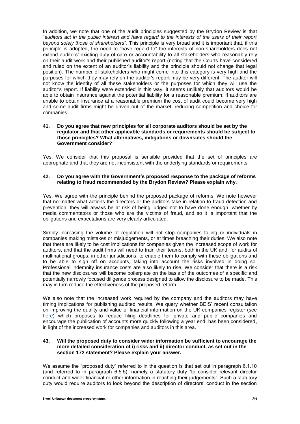In addition, we note that one of the audit principles suggested by the Brydon Review is that "*auditors act in the public interest and have regard to the interests of the users of their report beyond solely those of shareholders*". This principle is very broad and it is important that, if this principle is adopted, the need to "have regard to" the interests of non-shareholders does not extend auditors' existing duty of care or accountability to all stakeholders who reasonably rely on their audit work and their published auditor's report (noting that the Courts have considered and ruled on the extent of an auditor's liability and the principle should not change that legal position). The number of stakeholders who might come into this category is very high and the purposes for which they may rely on the auditor's report may be very different. The auditor will not know the identity of all these stakeholders or the purposes for which they will use the auditor's report. If liability were extended in this way, it seems unlikely that auditors would be able to obtain insurance against the potential liability for a reasonable premium. If auditors are unable to obtain insurance at a reasonable premium the cost of audit could become very high and some audit firms might be driven out of the market, reducing competition and choice for companies.

#### **41. Do you agree that new principles for all corporate auditors should be set by the regulator and that other applicable standards or requirements should be subject to those principles? What alternatives, mitigations or downsides should the Government consider?**

Yes. We consider that this proposal is sensible provided that the set of principles are appropriate and that they are not inconsistent with the underlying standards or requirements.

## **42. Do you agree with the Government's proposed response to the package of reforms relating to fraud recommended by the Brydon Review? Please explain why.**

Yes. We agree with the principle behind the proposed package of reforms. We note however that no matter what actions the directors or the auditors take in relation to fraud detection and prevention, they will always be at risk of being judged not to have done enough, whether by media commentators or those who are the victims of fraud, and so it is important that the obligations and expectations are very clearly articulated.

Simply increasing the volume of regulation will not stop companies failing or individuals in companies making mistakes or misjudgements, or at times breaching their duties. We also note that there are likely to be cost implications for companies given the increased scope of work for auditors, and that the audit firms will need to train their teams, both in the UK and, for audits of multinational groups, in other jurisdictions, to enable them to comply with these obligations and to be able to sign off on accounts, taking into account the risks involved in doing so. Professional indemnity insurance costs are also likely to rise. We consider that there is a risk that the new disclosures will become boilerplate on the basis of the outcomes of a specific and potentially narrowly focused diligence process designed to allow the disclosure to be made. This may in turn reduce the effectiveness of the proposed reform.

We also note that the increased work required by the company and the auditors may have timing implications for publishing audited results. We query whether BEIS' recent consultation on improving the quality and value of financial information on the UK companies register (see [here\)](https://assets.publishing.service.gov.uk/government/uploads/system/uploads/attachment_data/file/942160/Consultation_on_improving_the_quality_and_value_of_financial_information_on_the_register.pdf) which proposes to reduce filing deadlines for private and public companies and encourage the publication of accounts more quickly following a year end, has been considered, in light of the increased work for companies and auditors in this area.

## **43. Will the proposed duty to consider wider information be sufficient to encourage the more detailed consideration of i) risks and ii) director conduct, as set out in the section 172 statement? Please explain your answer.**

We assume the "proposed duty" referred to in the question is that set out in paragraph 6.1.10 (and referred to in paragraph 6.5.5), namely a statutory duty "to consider relevant director conduct and wider financial or other information in reaching their judgements". Such a statutory duty would require auditors to look beyond the description of directors' conduct in the section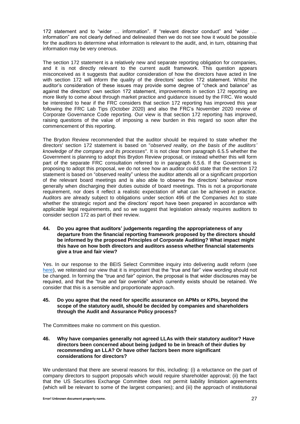172 statement and to "wider … information". If "relevant director conduct" and "wider … information" are not clearly defined and delineated then we do not see how it would be possible for the auditors to determine what information is relevant to the audit, and, in turn, obtaining that information may be very onerous.

The section 172 statement is a relatively new and separate reporting obligation for companies, and it is not directly relevant to the current audit framework. This question appears misconceived as it suggests that auditor consideration of how the directors have acted in line with section 172 will inform the quality of the directors' section 172 statement. Whilst the auditor's consideration of these issues may provide some degree of "check and balance" as against the directors' own section 172 statement, improvements in section 172 reporting are more likely to come about through market practice and guidance issued by the FRC. We would be interested to hear if the FRC considers that section 172 reporting has improved this year following the FRC Lab Tips (October 2020) and also the FRC's November 2020 review of Corporate Governance Code reporting. Our view is that section 172 reporting has improved, raising questions of the value of imposing a new burden in this regard so soon after the commencement of this reporting.

The Brydon Review recommended that the auditor should be required to state whether the directors' section 172 statement is based on "*observed reality, on the basis of the auditors' knowledge of the company and its processes*". It is not clear from paragraph 6.5.5 whether the Government is planning to adopt this Brydon Review proposal, or instead whether this will form part of the separate FRC consultation referred to in paragraph 6.5.6. If the Government is proposing to adopt this proposal, we do not see how an auditor could state that the section 172 statement is based on "observed reality" unless the auditor attends all or a significant proportion of the relevant board meetings and is also able to observe the directors' behaviour more generally when discharging their duties outside of board meetings. This is not a proportionate requirement, nor does it reflect a realistic expectation of what can be achieved in practice. Auditors are already subject to obligations under section 496 of the Companies Act to state whether the strategic report and the directors' report have been prepared in accordance with applicable legal requirements, and so we suggest that legislation already requires auditors to consider section 172 as part of their review.

**44. Do you agree that auditors' judgements regarding the appropriateness of any departure from the financial reporting framework proposed by the directors should be informed by the proposed Principles of Corporate Auditing? What impact might this have on how both directors and auditors assess whether financial statements give a true and fair view?**

Yes. In our response to the BEIS Select Committee inquiry into delivering audit reform (see [here\)](https://www.citysolicitors.org.uk/storage/2020/08/CLLS-and-Law-Society-response-to-BEIS-Committee-Audit-9-July-2020.pdf), we reiterated our view that it is important that the "true and fair" view wording should not be changed. In forming the "true and fair" opinion, the proposal is that wider disclosures may be required, and that the "true and fair override" which currently exists should be retained. We consider that this is a sensible and proportionate approach.

# **45. Do you agree that the need for specific assurance on APMs or KPIs, beyond the scope of the statutory audit, should be decided by companies and shareholders through the Audit and Assurance Policy process?**

The Committees make no comment on this question.

**46. Why have companies generally not agreed LLAs with their statutory auditor? Have directors been concerned about being judged to be in breach of their duties by recommending an LLA? Or have other factors been more significant considerations for directors?**

We understand that there are several reasons for this, including: (i) a reluctance on the part of company directors to support proposals which would require shareholder approval; (ii) the fact that the US Securities Exchange Committee does not permit liability limitation agreements (which will be relevant to some of the largest companies); and (iii) the approach of institutional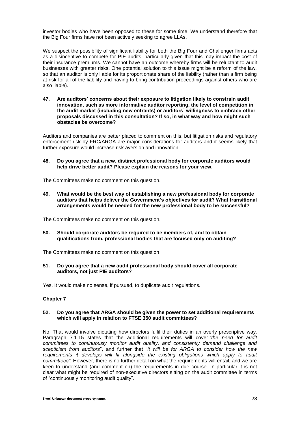investor bodies who have been opposed to these for some time. We understand therefore that the Big Four firms have not been actively seeking to agree LLAs.

We suspect the possibility of significant liability for both the Big Four and Challenger firms acts as a disincentive to compete for PIE audits, particularly given that this may impact the cost of their insurance premiums. We cannot have an outcome whereby firms will be reluctant to audit businesses with greater risks. One potential solution to this issue might be a reform of the law, so that an auditor is only liable for its proportionate share of the liability (rather than a firm being at risk for all of the liability and having to bring contribution proceedings against others who are also liable).

**47. Are auditors' concerns about their exposure to litigation likely to constrain audit innovation, such as more informative auditor reporting, the level of competition in the audit market (including new entrants) or auditors' willingness to embrace other proposals discussed in this consultation? If so, in what way and how might such obstacles be overcome?**

Auditors and companies are better placed to comment on this, but litigation risks and regulatory enforcement risk by FRC/ARGA are major considerations for auditors and it seems likely that further exposure would increase risk aversion and innovation.

**48. Do you agree that a new, distinct professional body for corporate auditors would help drive better audit? Please explain the reasons for your view.**

The Committees make no comment on this question.

**49. What would be the best way of establishing a new professional body for corporate auditors that helps deliver the Government's objectives for audit? What transitional arrangements would be needed for the new professional body to be successful?**

The Committees make no comment on this question.

**50. Should corporate auditors be required to be members of, and to obtain qualifications from, professional bodies that are focused only on auditing?**

The Committees make no comment on this question.

**51. Do you agree that a new audit professional body should cover all corporate auditors, not just PIE auditors?**

Yes. It would make no sense, if pursued, to duplicate audit regulations.

#### **Chapter 7**

#### **52. Do you agree that ARGA should be given the power to set additional requirements which will apply in relation to FTSE 350 audit committees?**

No. That would involve dictating how directors fulfil their duties in an overly prescriptive way. Paragraph 7.1.15 states that the additional requirements will cover "*the need for audit committees to continuously monitor audit quality, and consistently demand challenge and scepticism from auditors*", and further that "*it will be for ARGA to consider how the new requirements it develops will fit alongside the existing obligations which apply to audit committees".* However, there is no further detail on what the requirements will entail, and we are keen to understand (and comment on) the requirements in due course. In particular it is not clear what might be required of non-executive directors sitting on the audit committee in terms of "continuously monitoring audit quality".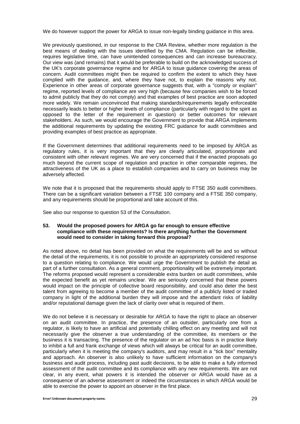We do however support the power for ARGA to issue non-legally binding guidance in this area.

We previously questioned, in our response to the CMA Review, whether more regulation is the best means of dealing with the issues identified by the CMA. Regulation can be inflexible, requires legislative time, can have unintended consequences and can increase bureaucracy. Our view was (and remains) that it would be preferable to build on the acknowledged success of the UK's corporate governance regime and for ARGA to issue guidance covering the areas of concern. Audit committees might then be required to confirm the extent to which they have complied with the guidance, and, where they have not, to explain the reasons why not. Experience in other areas of corporate governance suggests that, with a "comply or explain" regime, reported levels of compliance are very high (because few companies wish to be forced to admit publicly that they do not comply) and that examples of best practice are soon adopted more widely. We remain unconvinced that making standards/requirements legally enforceable necessarily leads to better or higher levels of compliance (particularly with regard to the spirit as opposed to the letter of the requirement in question) or better outcomes for relevant stakeholders. As such, we would encourage the Government to provide that ARGA implements the additional requirements by updating the existing FRC guidance for audit committees and providing examples of best practice as appropriate.

If the Government determines that additional requirements need to be imposed by ARGA as regulatory rules, it is very important that they are clearly articulated, proportionate and consistent with other relevant regimes. We are very concerned that if the enacted proposals go much beyond the current scope of regulation and practice in other comparable regimes, the attractiveness of the UK as a place to establish companies and to carry on business may be adversely affected.

We note that it is proposed that the requirements should apply to FTSE 350 audit committees. There can be a significant variation between a FTSE 100 company and a FTSE 350 company, and any requirements should be proportional and take account of this.

See also our response to question 53 of the Consultation.

#### **53. Would the proposed powers for ARGA go far enough to ensure effective compliance with these requirements? Is there anything further the Government would need to consider in taking forward this proposal?**

As noted above, no detail has been provided on what the requirements will be and so without the detail of the requirements, it is not possible to provide an appropriately considered response to a question relating to compliance. We would urge the Government to publish the detail as part of a further consultation. As a general comment, proportionality will be extremely important. The reforms proposed would represent a considerable extra burden on audit committees, while the expected benefit as yet remains unclear. We are seriously concerned that these powers would impact on the principle of collective board responsibility, and could also deter the best talent from agreeing to become a member of the audit committee of a publicly listed or traded company in light of the additional burden they will impose and the attendant risks of liability and/or reputational damage given the lack of clarity over what is required of them.

We do not believe it is necessary or desirable for ARGA to have the right to place an observer on an audit committee. In practice, the presence of an outsider, particularly one from a regulator, is likely to have an artificial and potentially chilling effect on any meeting and will not necessarily give the observer a true understanding of the committee, its members or the business it is transacting. The presence of the regulator on an ad hoc basis is in practice likely to inhibit a full and frank exchange of views which will always be critical for an audit committee, particularly when it is meeting the company's auditors, and may result in a "tick box" mentality and approach. An observer is also unlikely to have sufficient information on the company's business and audit process, including past audit decisions, to be able to make a fully informed assessment of the audit committee and its compliance with any new requirements. We are not clear, in any event, what powers it is intended the observer or ARGA would have as a consequence of an adverse assessment or indeed the circumstances in which ARGA would be able to exercise the power to appoint an observer in the first place.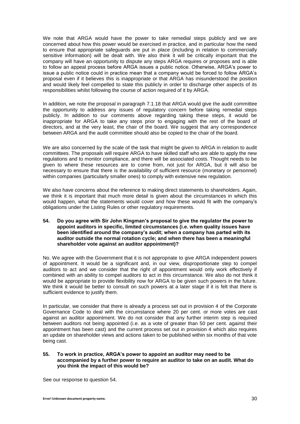We note that ARGA would have the power to take remedial steps publicly and we are concerned about how this power would be exercised in practice, and in particular how the need to ensure that appropriate safeguards are put in place (including in relation to commercially sensitive information) will be dealt with. We also think it will be critically important that the company will have an opportunity to dispute any steps ARGA requires or proposes and is able to follow an appeal process before ARGA issues a public notice. Otherwise, ARGA's power to issue a public notice could in practice mean that a company would be forced to follow ARGA's proposal even if it believes this is inappropriate or that ARGA has misunderstood the position and would likely feel compelled to state this publicly in order to discharge other aspects of its responsibilities whilst following the course of action required of it by ARGA.

In addition, we note the proposal in paragraph 7.1.18 that ARGA would give the audit committee the opportunity to address any issues of regulatory concern before taking remedial steps publicly. In addition to our comments above regarding taking these steps, it would be inappropriate for ARGA to take any steps prior to engaging with the rest of the board of directors, and at the very least, the chair of the board. We suggest that any correspondence between ARGA and the audit committee should also be copied to the chair of the board.

We are also concerned by the scale of the task that might be given to ARGA in relation to audit committees. The proposals will require ARGA to have skilled staff who are able to apply the new regulations and to monitor compliance, and there will be associated costs. Thought needs to be given to where these resources are to come from, not just for ARGA, but it will also be necessary to ensure that there is the availability of sufficient resource (monetary or personnel) within companies (particularly smaller ones) to comply with extensive new regulation.

We also have concerns about the reference to making direct statements to shareholders. Again, we think it is important that much more detail is given about the circumstances in which this would happen, what the statements would cover and how these would fit with the company's obligations under the Listing Rules or other regulatory requirements.

**54. Do you agree with Sir John Kingman's proposal to give the regulator the power to appoint auditors in specific, limited circumstances (i.e. when quality issues have been identified around the company's audit; when a company has parted with its auditor outside the normal rotation cycle; and when there has been a meaningful shareholder vote against an auditor appointment)?**

No. We agree with the Government that it is not appropriate to give ARGA independent powers of appointment. It would be a significant and, in our view, disproportionate step to compel auditors to act and we consider that the right of appointment would only work effectively if combined with an ability to compel auditors to act in this circumstance. We also do not think it would be appropriate to provide flexibility now for ARGA to be given such powers in the future. We think it would be better to consult on such powers at a later stage if it is felt that there is sufficient evidence to justify them.

In particular, we consider that there is already a process set out in provision 4 of the Corporate Governance Code to deal with the circumstance where 20 per cent. or more votes are cast against an auditor appointment. We do not consider that any further interim step is required between auditors not being appointed (i.e. as a vote of greater than 50 per cent. against their appointment has been cast) and the current process set out in provision 4 which also requires an update on shareholder views and actions taken to be published within six months of that vote being cast.

## **55. To work in practice, ARGA's power to appoint an auditor may need to be accompanied by a further power to require an auditor to take on an audit. What do you think the impact of this would be?**

See our response to question 54.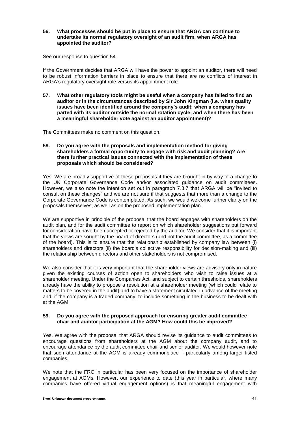#### **56. What processes should be put in place to ensure that ARGA can continue to undertake its normal regulatory oversight of an audit firm, when ARGA has appointed the auditor?**

See our response to question 54.

If the Government decides that ARGA will have the power to appoint an auditor, there will need to be robust information barriers in place to ensure that there are no conflicts of interest in ARGA's regulatory oversight role versus its appointment role.

**57. What other regulatory tools might be useful when a company has failed to find an auditor or in the circumstances described by Sir John Kingman (i.e. when quality issues have been identified around the company's audit; when a company has parted with its auditor outside the normal rotation cycle; and when there has been a meaningful shareholder vote against an auditor appointment)?**

The Committees make no comment on this question.

#### **58. Do you agree with the proposals and implementation method for giving shareholders a formal opportunity to engage with risk and audit planning? Are there further practical issues connected with the implementation of these proposals which should be considered?**

Yes. We are broadly supportive of these proposals if they are brought in by way of a change to the UK Corporate Governance Code and/or associated guidance on audit committees. However, we also note the intention set out in paragraph 7.3.7 that ARGA will be "invited to consult on these changes" and we are not sure if that suggests that more than a change to the Corporate Governance Code is contemplated. As such, we would welcome further clarity on the proposals themselves, as well as on the proposed implementation plan.

We are supportive in principle of the proposal that the board engages with shareholders on the audit plan, and for the audit committee to report on which shareholder suggestions put forward for consideration have been accepted or rejected by the auditor. We consider that it is important that the views are sought by the board of directors (and not the audit committee, as a committee of the board). This is to ensure that the relationship established by company law between (i) shareholders and directors (ii) the board's collective responsibility for decision-making and (iii) the relationship between directors and other stakeholders is not compromised.

We also consider that it is very important that the shareholder views are advisory only in nature given the existing courses of action open to shareholders who wish to raise issues at a shareholder meeting. Under the Companies Act, and subject to certain thresholds, shareholders already have the ability to propose a resolution at a shareholder meeting (which could relate to matters to be covered in the audit) and to have a statement circulated in advance of the meeting and, if the company is a traded company, to include something in the business to be dealt with at the AGM.

# **59. Do you agree with the proposed approach for ensuring greater audit committee chair and auditor participation at the AGM? How could this be improved?**

Yes. We agree with the proposal that ARGA should revise its guidance to audit committees to encourage questions from shareholders at the AGM about the company audit, and to encourage attendance by the audit committee chair and senior auditor. We would however note that such attendance at the AGM is already commonplace – particularly among larger listed companies.

We note that the FRC in particular has been very focused on the importance of shareholder engagement at AGMs. However, our experience to date (this year in particular, where many companies have offered virtual engagement options) is that meaningful engagement with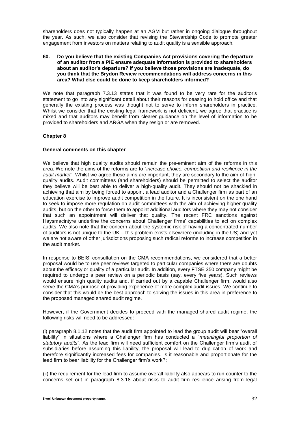shareholders does not typically happen at an AGM but rather in ongoing dialogue throughout the year. As such, we also consider that revising the Stewardship Code to promote greater engagement from investors on matters relating to audit quality is a sensible approach.

## **60. Do you believe that the existing Companies Act provisions covering the departure of an auditor from a PIE ensure adequate information is provided to shareholders about an auditor's departure? If you believe those provisions are inadequate, do you think that the Brydon Review recommendations will address concerns in this area? What else could be done to keep shareholders informed?**

We note that paragraph 7.3.13 states that it was found to be very rare for the auditor's statement to go into any significant detail about their reasons for ceasing to hold office and that generally the existing process was thought not to serve to inform shareholders in practice. Whilst we consider that the existing legal framework is not deficient, we agree that practice is mixed and that auditors may benefit from clearer guidance on the level of information to be provided to shareholders and ARGA when they resign or are removed.

# **Chapter 8**

# **General comments on this chapter**

We believe that high quality audits should remain the pre-eminent aim of the reforms in this area. We note the aims of the reforms are to "*increase choice, competition and resilience in the audit market*". Whilst we agree these aims are important, they are secondary to the aim of highquality audits. Audit committees (and shareholders) should be permitted to select the auditor they believe will be best able to deliver a high-quality audit. They should not be shackled in achieving that aim by being forced to appoint a lead auditor and a Challenger firm as part of an education exercise to improve audit competition in the future. It is inconsistent on the one hand to seek to impose more regulation on audit committees with the aim of achieving higher quality audits, but on the other to force them to appoint additional auditors where they may not consider that such an appointment will deliver that quality. The recent FRC sanctions against Haysmacintyre underline the concerns about Challenger firms' capabilities to act on complex audits. We also note that the concern about the systemic risk of having a concentrated number of auditors is not unique to the UK – this problem exists elsewhere (including in the US) and yet we are not aware of other jurisdictions proposing such radical reforms to increase competition in the audit market.

In response to BEIS' consultation on the CMA recommendations, we considered that a better proposal would be to use peer reviews targeted to particular companies where there are doubts about the efficacy or quality of a particular audit. In addition, every FTSE 350 company might be required to undergo a peer review on a periodic basis (say, every five years). Such reviews would ensure high quality audits and, if carried out by a capable Challenger firm, would also serve the CMA's purpose of providing experience of more complex audit issues. We continue to consider that this would be the best approach to solving the issues in this area in preference to the proposed managed shared audit regime.

However, if the Government decides to proceed with the managed shared audit regime, the following risks will need to be addressed:

(i) paragraph 8.1.12 notes that the audit firm appointed to lead the group audit will bear "overall liability" in situations where a Challenger firm has conducted a "*meaningful proportion of statutory audits*". As the lead firm will need sufficient comfort on the Challenger firm's audit of subsidiaries before assuming this liability, the proposal will lead to duplication of work and therefore significantly increased fees for companies. Is it reasonable and proportionate for the lead firm to bear liability for the Challenger firm's work?;

(ii) the requirement for the lead firm to assume overall liability also appears to run counter to the concerns set out in paragraph 8.3.18 about risks to audit firm resilience arising from legal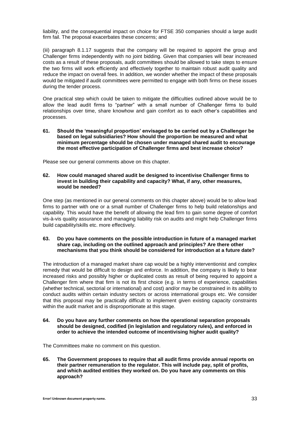liability, and the consequential impact on choice for FTSE 350 companies should a large audit firm fail. The proposal exacerbates these concerns; and

(iii) paragraph 8.1.17 suggests that the company will be required to appoint the group and Challenger firms independently with no joint bidding. Given that companies will bear increased costs as a result of these proposals, audit committees should be allowed to take steps to ensure the two firms will work efficiently and effectively together to maintain robust audit quality and reduce the impact on overall fees. In addition, we wonder whether the impact of these proposals would be mitigated if audit committees were permitted to engage with both firms on these issues during the tender process.

One practical step which could be taken to mitigate the difficulties outlined above would be to allow the lead audit firms to "partner" with a small number of Challenger firms to build relationships over time, share knowhow and gain comfort as to each other's capabilities and processes.

**61. Should the 'meaningful proportion' envisaged to be carried out by a Challenger be based on legal subsidiaries? How should the proportion be measured and what minimum percentage should be chosen under managed shared audit to encourage the most effective participation of Challenger firms and best increase choice?**

Please see our general comments above on this chapter.

**62. How could managed shared audit be designed to incentivise Challenger firms to invest in building their capability and capacity? What, if any, other measures, would be needed?**

One step (as mentioned in our general comments on this chapter above) would be to allow lead firms to partner with one or a small number of Challenger firms to help build relationships and capability. This would have the benefit of allowing the lead firm to gain some degree of comfort vis-à-vis quality assurance and managing liability risk on audits and might help Challenger firms build capability/skills etc. more effectively.

# **63. Do you have comments on the possible introduction in future of a managed market share cap, including on the outlined approach and principles? Are there other mechanisms that you think should be considered for introduction at a future date?**

The introduction of a managed market share cap would be a highly interventionist and complex remedy that would be difficult to design and enforce. In addition, the company is likely to bear increased risks and possibly higher or duplicated costs as result of being required to appoint a Challenger firm where that firm is not its first choice (e.g. in terms of experience, capabilities (whether technical, sectorial or international) and cost) and/or may be constrained in its ability to conduct audits within certain industry sectors or across international groups etc. We consider that this proposal may be practically difficult to implement given existing capacity constraints within the audit market and is disproportionate at this stage.

**64. Do you have any further comments on how the operational separation proposals should be designed, codified (in legislation and regulatory rules), and enforced in order to achieve the intended outcome of incentivising higher audit quality?**

The Committees make no comment on this question.

**65. The Government proposes to require that all audit firms provide annual reports on their partner remuneration to the regulator. This will include pay, split of profits, and which audited entities they worked on. Do you have any comments on this approach?**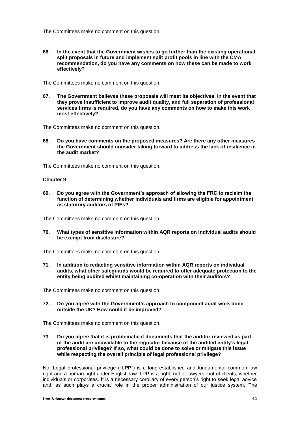The Committees make no comment on this question.

**66. In the event that the Government wishes to go further than the existing operational split proposals in future and implement split profit pools in line with the CMA recommendation, do you have any comments on how these can be made to work effectively?**

The Committees make no comment on this question.

**67. The Government believes these proposals will meet its objectives. In the event that they prove insufficient to improve audit quality, and full separation of professional services firms is required, do you have any comments on how to make this work most effectively?**

The Committees make no comment on this question.

**68. Do you have comments on the proposed measures? Are there any other measures the Government should consider taking forward to address the lack of resilience in the audit market?**

The Committees make no comment on this question.

# **Chapter 9**

**69. Do you agree with the Government's approach of allowing the FRC to reclaim the function of determining whether individuals and firms are eligible for appointment as statutory auditors of PIEs?**

The Committees make no comment on this question.

**70. What types of sensitive information within AQR reports on individual audits should be exempt from disclosure?**

The Committees make no comment on this question.

**71. In addition to redacting sensitive information within AQR reports on individual audits, what other safeguards would be required to offer adequate protection to the entity being audited whilst maintaining co-operation with their auditors?**

The Committees make no comment on this question.

**72. Do you agree with the Government's approach to component audit work done outside the UK? How could it be improved?**

The Committees make no comment on this question.

**73. Do you agree that it is problematic if documents that the auditor reviewed as part of the audit are unavailable to the regulator because of the audited entity's legal professional privilege? If so, what could be done to solve or mitigate this issue while respecting the overall principle of legal professional privilege?**

No. Legal professional privilege ("**LPP**") is a long-established and fundamental common law right and a human right under English law. LPP is a right, not of lawyers, but of clients, whether individuals or corporates. It is a necessary corollary of every person's right to seek legal advice and, as such plays a crucial role in the proper administration of our justice system. The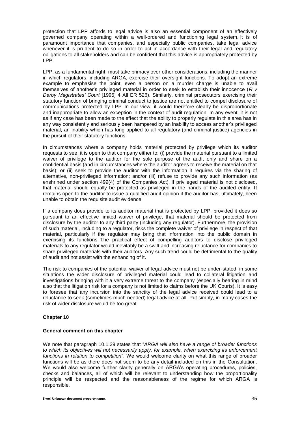protection that LPP affords to legal advice is also an essential component of an effectively governed company operating within a well-ordered and functioning legal system. It is of paramount importance that companies, and especially public companies, take legal advice whenever it is prudent to do so in order to act in accordance with their legal and regulatory obligations to all stakeholders and can be confident that this advice is appropriately protected by LPP.

LPP, as a fundamental right, must take primacy over other considerations, including the manner in which regulators, including ARGA, exercise their oversight functions. To adopt an extreme example to emphasise the point, even a person on a murder charge is unable to avail themselves of another's privileged material in order to seek to establish their innocence (*R v Derby Magistrates' Court* [1995] 4 All ER 526). Similarly, criminal prosecutors exercising their statutory function of bringing criminal conduct to justice are not entitled to compel disclosure of communications protected by LPP. In our view, it would therefore clearly be disproportionate and inappropriate to allow an exception in the context of audit regulation. In any event, it is not as if any case has been made to the effect that the ability to properly regulate in this area has in any way consistently and seriously been hampered by an inability to access another's privileged material, an inability which has long applied to all regulatory (and criminal justice) agencies in the pursuit of their statutory functions.

In circumstances where a company holds material protected by privilege which its auditor requests to see, it is open to that company either to: (i) provide the material pursuant to a limited waiver of privilege to the auditor for the sole purpose of the audit only and share on a confidential basis (and in circumstances where the auditor agrees to receive the material on that basis); or (ii) seek to provide the auditor with the information it requires via the sharing of alternative, non-privileged information; and/or (iii) refuse to provide any such information (as enshrined under section 499(4) of the Companies Act). If privileged material is not disclosed, that material should equally be protected as privileged in the hands of the audited entity. It remains open to the auditor to issue a qualified audit opinion if the auditor has, ultimately, been unable to obtain the requisite audit evidence.

If a company does provide to its auditor material that is protected by LPP, provided it does so pursuant to an effective limited waiver of privilege, that material should be protected from disclosure by the auditor to any third party (including any regulator). Furthermore, the provision of such material, including to a regulator, risks the complete waiver of privilege in respect of that material, particularly if the regulator may bring that information into the public domain in exercising its functions. The practical effect of compelling auditors to disclose privileged materials to any regulator would inevitably be a swift and increasing reluctance for companies to share privileged materials with their auditors. Any such trend could be detrimental to the quality of audit and not assist with the enhancing of it.

The risk to companies of the potential waiver of legal advice must not be under-stated: in some situations the wider disclosure of privileged material could lead to collateral litigation and investigations bringing with it a very extreme threat to the company (especially bearing in mind also that the litigation risk for a company is not limited to claims before the UK Courts). It is easy to foresee that any incursion into the sanctity of the legal advice received could lead to a reluctance to seek (sometimes much needed) legal advice at all. Put simply, in many cases the risk of wider disclosure would be too great.

# **Chapter 10**

#### **General comment on this chapter**

We note that paragraph 10.1.29 states that "*ARGA will also have a range of broader functions to which its objectives will not necessarily apply, for example, when exercising its enforcement functions in relation to competition*". We would welcome clarity on what this range of broader functions will be as there does not seem to be any detail included on this in the Consultation. We would also welcome further clarity generally on ARGA's operating procedures, policies, checks and balances, all of which will be relevant to understanding how the proportionality principle will be respected and the reasonableness of the regime for which ARGA is responsible.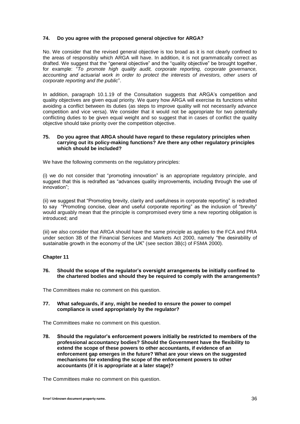# **74. Do you agree with the proposed general objective for ARGA?**

No. We consider that the revised general objective is too broad as it is not clearly confined to the areas of responsibly which ARGA will have. In addition, it is not grammatically correct as drafted. We suggest that the "general objective" and the "quality objective" be brought together, for example: "*To promote high quality audit, corporate reporting, corporate governance, accounting and actuarial work in order to protect the interests of investors, other users of corporate reporting and the public*".

In addition, paragraph 10.1.19 of the Consultation suggests that ARGA's competition and quality objectives are given equal priority. We query how ARGA will exercise its functions whilst avoiding a conflict between its duties (as steps to improve quality will not necessarily advance competition and vice versa). We consider that it would not be appropriate for two potentially conflicting duties to be given equal weight and so suggest that in cases of conflict the quality objective should take priority over the competition objective.

## **75. Do you agree that ARGA should have regard to these regulatory principles when carrying out its policy-making functions? Are there any other regulatory principles which should be included?**

We have the following comments on the regulatory principles:

(i) we do not consider that "promoting innovation" is an appropriate regulatory principle, and suggest that this is redrafted as "advances quality improvements, including through the use of innovation";

(ii) we suggest that "Promoting brevity, clarity and usefulness in corporate reporting" is redrafted to say "Promoting concise, clear and useful corporate reporting" as the inclusion of "brevity" would arguably mean that the principle is compromised every time a new reporting obligation is introduced; and

(iii) we also consider that ARGA should have the same principle as applies to the FCA and PRA under section 3B of the Financial Services and Markets Act 2000, namely "the desirability of sustainable growth in the economy of the UK" (see section 3B(c) of FSMA 2000).

# **Chapter 11**

# **76. Should the scope of the regulator's oversight arrangements be initially confined to the chartered bodies and should they be required to comply with the arrangements?**

The Committees make no comment on this question.

**77. What safeguards, if any, might be needed to ensure the power to compel compliance is used appropriately by the regulator?**

The Committees make no comment on this question.

**78. Should the regulator's enforcement powers initially be restricted to members of the professional accountancy bodies? Should the Government have the flexibility to extend the scope of these powers to other accountants, if evidence of an enforcement gap emerges in the future? What are your views on the suggested mechanisms for extending the scope of the enforcement powers to other accountants (if it is appropriate at a later stage)?**

The Committees make no comment on this question.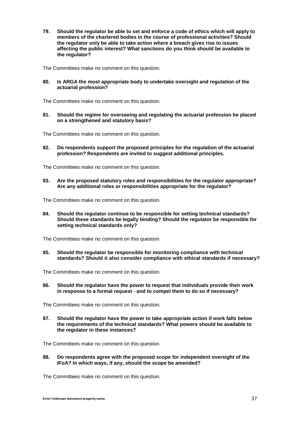**79. Should the regulator be able to set and enforce a code of ethics which will apply to members of the chartered bodies in the course of professional activities? Should the regulator only be able to take action where a breach gives rise to issues affecting the public interest? What sanctions do you think should be available to the regulator?**

The Committees make no comment on this question.

**80. Is ARGA the most appropriate body to undertake oversight and regulation of the actuarial profession?**

The Committees make no comment on this question.

**81. Should the regime for overseeing and regulating the actuarial profession be placed on a strengthened and statutory basis?**

The Committees make no comment on this question.

**82. Do respondents support the proposed principles for the regulation of the actuarial profession? Respondents are invited to suggest additional principles.**

The Committees make no comment on this question.

**83. Are the proposed statutory roles and responsibilities for the regulator appropriate? Are any additional roles or responsibilities appropriate for the regulator?**

The Committees make no comment on this question.

**84. Should the regulator continue to be responsible for setting technical standards? Should these standards be legally binding? Should the regulator be responsible for setting technical standards only?**

The Committees make no comment on this question.

**85. Should the regulator be responsible for monitoring compliance with technical standards? Should it also consider compliance with ethical standards if necessary?**

The Committees make no comment on this question.

**86. Should the regulator have the power to request that individuals provide their work in response to a formal request - and to compel them to do so if necessary?**

The Committees make no comment on this question.

**87. Should the regulator have the power to take appropriate action if work falls below the requirements of the technical standards? What powers should be available to the regulator in these instances?**

The Committees make no comment on this question.

**88. Do respondents agree with the proposed scope for independent oversight of the IFoA? In which ways, if any, should the scope be amended?**

The Committees make no comment on this question.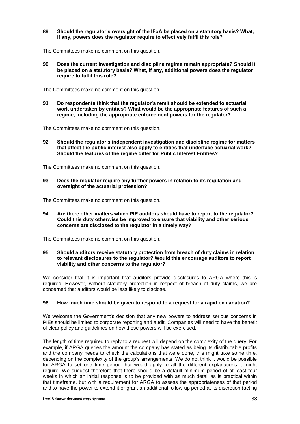**89. Should the regulator's oversight of the IFoA be placed on a statutory basis? What, if any, powers does the regulator require to effectively fulfil this role?**

The Committees make no comment on this question.

**90. Does the current investigation and discipline regime remain appropriate? Should it be placed on a statutory basis? What, if any, additional powers does the regulator require to fulfil this role?**

The Committees make no comment on this question.

**91. Do respondents think that the regulator's remit should be extended to actuarial work undertaken by entities? What would be the appropriate features of such a regime, including the appropriate enforcement powers for the regulator?**

The Committees make no comment on this question.

**92. Should the regulator's independent investigation and discipline regime for matters that affect the public interest also apply to entities that undertake actuarial work? Should the features of the regime differ for Public Interest Entities?**

The Committees make no comment on this question.

**93. Does the regulator require any further powers in relation to its regulation and oversight of the actuarial profession?**

The Committees make no comment on this question.

**94. Are there other matters which PIE auditors should have to report to the regulator? Could this duty otherwise be improved to ensure that viability and other serious concerns are disclosed to the regulator in a timely way?**

The Committees make no comment on this question.

## **95. Should auditors receive statutory protection from breach of duty claims in relation to relevant disclosures to the regulator? Would this encourage auditors to report viability and other concerns to the regulator?**

We consider that it is important that auditors provide disclosures to ARGA where this is required. However, without statutory protection in respect of breach of duty claims, we are concerned that auditors would be less likely to disclose.

# **96. How much time should be given to respond to a request for a rapid explanation?**

We welcome the Government's decision that any new powers to address serious concerns in PIEs should be limited to corporate reporting and audit. Companies will need to have the benefit of clear policy and guidelines on how these powers will be exercised.

The length of time required to reply to a request will depend on the complexity of the query. For example, if ARGA queries the amount the company has stated as being its distributable profits and the company needs to check the calculations that were done, this might take some time, depending on the complexity of the group's arrangements. We do not think it would be possible for ARGA to set one time period that would apply to all the different explanations it might require. We suggest therefore that there should be a default minimum period of at least four weeks in which an initial response is to be provided with as much detail as is practical within that timeframe, but with a requirement for ARGA to assess the appropriateness of that period and to have the power to extend it or grant an additional follow-up period at its discretion (acting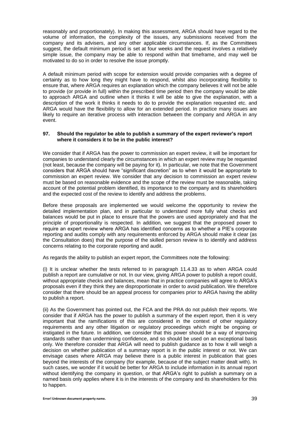reasonably and proportionately). In making this assessment, ARGA should have regard to the volume of information, the complexity of the issues, any submissions received from the company and its advisers, and any other applicable circumstances. If, as the Committees suggest, the default minimum period is set at four weeks and the request involves a relatively simple issue, the company may be able to respond within that timeframe, and may well be motivated to do so in order to resolve the issue promptly.

A default minimum period with scope for extension would provide companies with a degree of certainty as to how long they might have to respond, whilst also incorporating flexibility to ensure that, where ARGA requires an explanation which the company believes it will not be able to provide (or provide in full) within the prescribed time period then the company would be able to approach ARGA and outline when it thinks it will be able to give the explanation, with a description of the work it thinks it needs to do to provide the explanation requested etc. and ARGA would have the flexibility to allow for an extended period. In practice many issues are likely to require an iterative process with interaction between the company and ARGA in any event.

## **97. Should the regulator be able to publish a summary of the expert reviewer's report where it considers it to be in the public interest?**

We consider that if ARGA has the power to commission an expert review, it will be important for companies to understand clearly the circumstances in which an expert review may be requested (not least, because the company will be paying for it). In particular, we note that the Government considers that ARGA should have "significant discretion" as to when it would be appropriate to commission an expert review. We consider that any decision to commission an expert review must be based on reasonable evidence and the scope of the review must be reasonable, taking account of the potential problem identified, its importance to the company and its shareholders and the expected cost of the review to identify and address the problems.

Before these proposals are implemented we would welcome the opportunity to review the detailed implementation plan, and in particular to understand more fully what checks and balances would be put in place to ensure that the powers are used appropriately and that the principle of proportionality is respected. In addition, we suggest that the proposed power to require an expert review where ARGA has identified concerns as to whether a PIE's corporate reporting and audits comply with any requirements enforced by ARGA should make it clear (as the Consultation does) that the purpose of the skilled person review is to identify and address concerns relating to the corporate reporting and audit.

As regards the ability to publish an expert report, the Committees note the following:

(i) It is unclear whether the tests referred to in paragraph 11.4.33 as to when ARGA could publish a report are cumulative or not. In our view, giving ARGA power to publish a report could, without appropriate checks and balances, mean that in practice companies will agree to ARGA's proposals even if they think they are disproportionate in order to avoid publication. We therefore consider that there should be an appeal process for companies prior to ARGA having the ability to publish a report.

(ii) As the Government has pointed out, the FCA and the PRA do not publish their reports. We consider that if ARGA has the power to publish a summary of the expert report, then it is very important that the ramifications of this are considered in the context of other regulatory requirements and any other litigation or regulatory proceedings which might be ongoing or instigated in the future. In addition, we consider that this power should be a way of improving standards rather than undermining confidence, and so should be used on an exceptional basis only. We therefore consider that ARGA will need to publish guidance as to how it will weigh a decision on whether publication of a summary report is in the public interest or not. We can envisage cases where ARGA may believe there is a public interest in publication that goes beyond the interests of the company (for example, because of the subject matter dealt with). In such cases, we wonder if it would be better for ARGA to include information in its annual report without identifying the company in question, or that ARGA's right to publish a summary on a named basis only applies where it is in the interests of the company and its shareholders for this to happen.